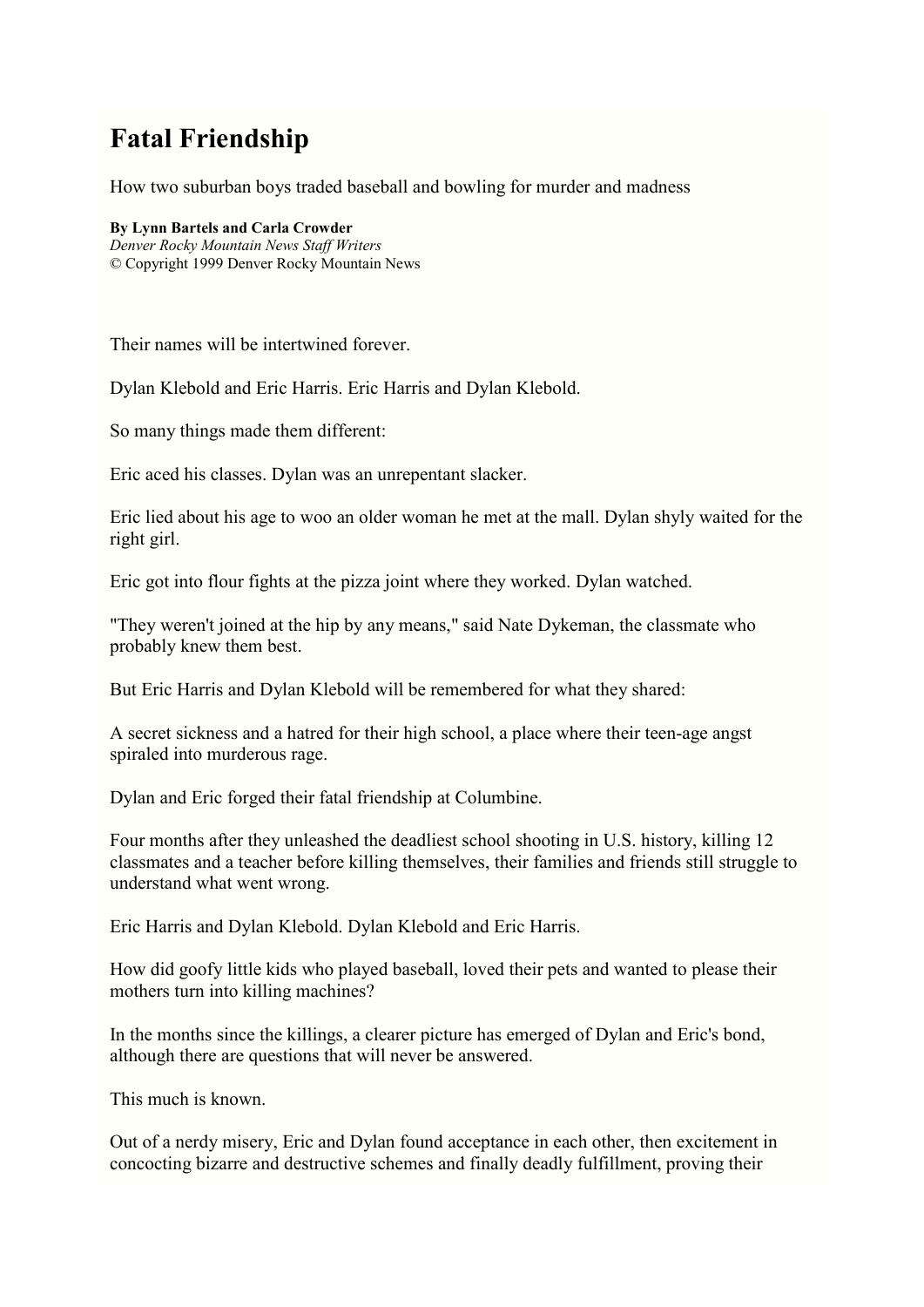# **Fatal Friendship**

How two suburban boys traded baseball and bowling for murder and madness

#### **By Lynn Bartels and Carla Crowder**

*Denver Rocky Mountain News Staff Writers* © Copyright 1999 Denver Rocky Mountain News

Their names will be intertwined forever.

Dylan Klebold and Eric Harris. Eric Harris and Dylan Klebold.

So many things made them different:

Eric aced his classes. Dylan was an unrepentant slacker.

Eric lied about his age to woo an older woman he met at the mall. Dylan shyly waited for the right girl.

Eric got into flour fights at the pizza joint where they worked. Dylan watched.

"They weren't joined at the hip by any means," said Nate Dykeman, the classmate who probably knew them best.

But Eric Harris and Dylan Klebold will be remembered for what they shared:

A secret sickness and a hatred for their high school, a place where their teen-age angst spiraled into murderous rage.

Dylan and Eric forged their fatal friendship at Columbine.

Four months after they unleashed the deadliest school shooting in U.S. history, killing 12 classmates and a teacher before killing themselves, their families and friends still struggle to understand what went wrong.

Eric Harris and Dylan Klebold. Dylan Klebold and Eric Harris.

How did goofy little kids who played baseball, loved their pets and wanted to please their mothers turn into killing machines?

In the months since the killings, a clearer picture has emerged of Dylan and Eric's bond, although there are questions that will never be answered.

This much is known.

Out of a nerdy misery, Eric and Dylan found acceptance in each other, then excitement in concocting bizarre and destructive schemes and finally deadly fulfillment, proving their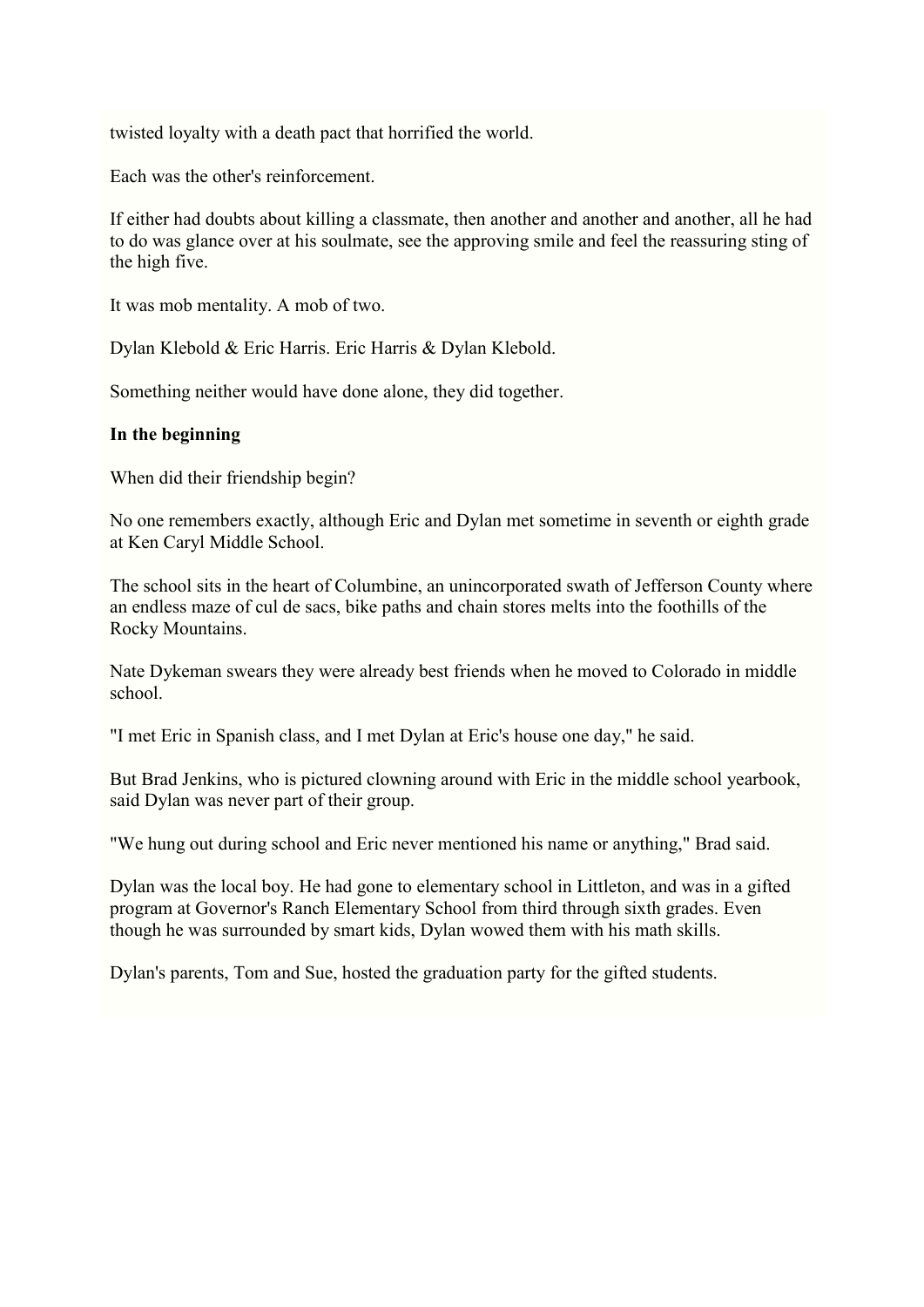twisted loyalty with a death pact that horrified the world.

Each was the other's reinforcement.

If either had doubts about killing a classmate, then another and another and another, all he had to do was glance over at his soulmate, see the approving smile and feel the reassuring sting of the high five.

It was mob mentality. A mob of two.

Dylan Klebold & Eric Harris. Eric Harris & Dylan Klebold.

Something neither would have done alone, they did together.

# **In the beginning**

When did their friendship begin?

No one remembers exactly, although Eric and Dylan met sometime in seventh or eighth grade at Ken Caryl Middle School.

The school sits in the heart of Columbine, an unincorporated swath of Jefferson County where an endless maze of cul de sacs, bike paths and chain stores melts into the foothills of the Rocky Mountains.

Nate Dykeman swears they were already best friends when he moved to Colorado in middle school.

"I met Eric in Spanish class, and I met Dylan at Eric's house one day," he said.

But Brad Jenkins, who is pictured clowning around with Eric in the middle school yearbook, said Dylan was never part of their group.

"We hung out during school and Eric never mentioned his name or anything," Brad said.

Dylan was the local boy. He had gone to elementary school in Littleton, and was in a gifted program at Governor's Ranch Elementary School from third through sixth grades. Even though he was surrounded by smart kids, Dylan wowed them with his math skills.

Dylan's parents, Tom and Sue, hosted the graduation party for the gifted students.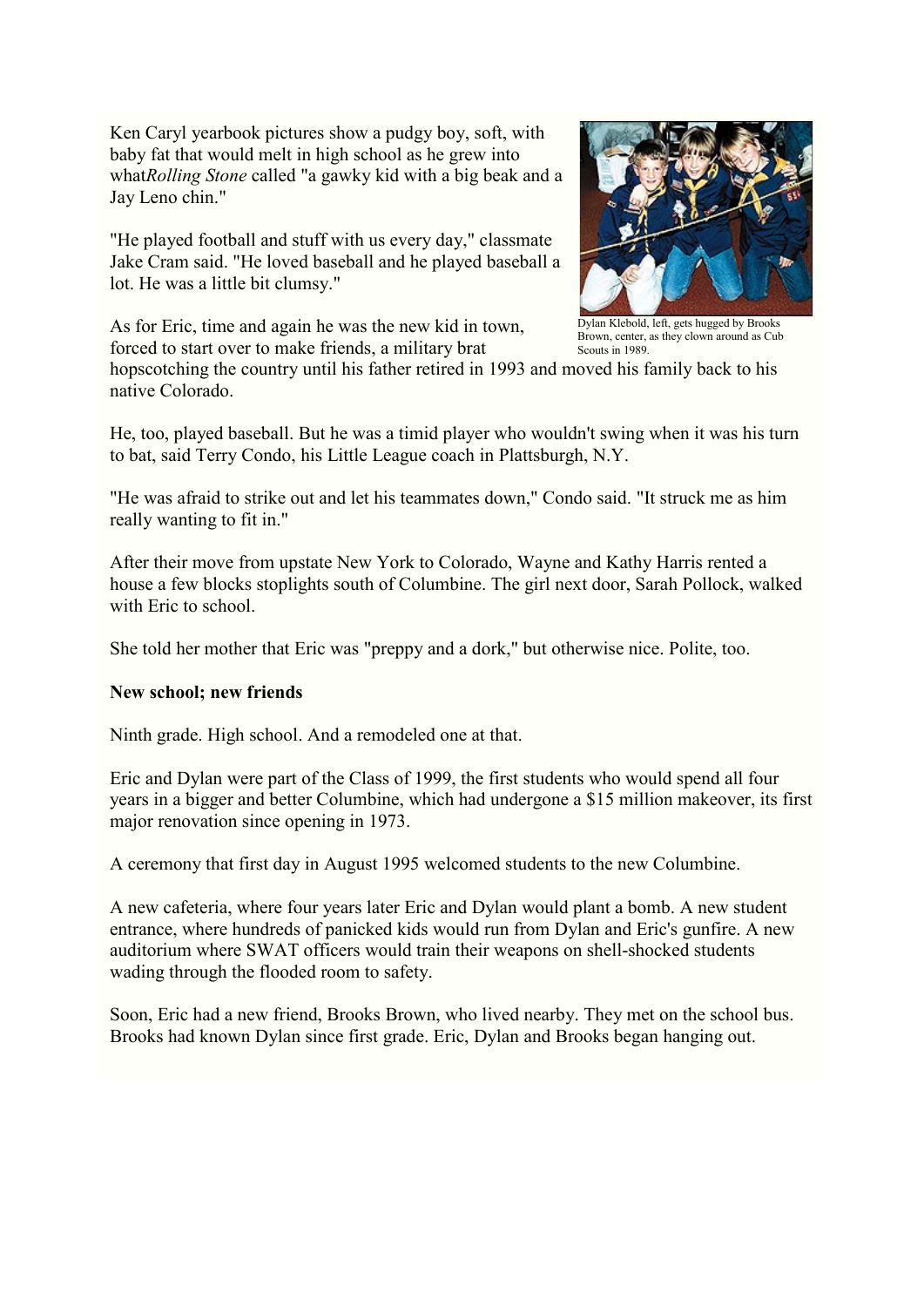Ken Caryl yearbook pictures show a pudgy boy, soft, with baby fat that would melt in high school as he grew into what*Rolling Stone* called "a gawky kid with a big beak and a Jay Leno chin."

"He played football and stuff with us every day," classmate Jake Cram said. "He loved baseball and he played baseball a lot. He was a little bit clumsy."

As for Eric, time and again he was the new kid in town, forced to start over to make friends, a military brat



Dylan Klebold, left, gets hugged by Brooks Brown, center, as they clown around as Cub Scouts in 1989.

hopscotching the country until his father retired in 1993 and moved his family back to his native Colorado.

He, too, played baseball. But he was a timid player who wouldn't swing when it was his turn to bat, said Terry Condo, his Little League coach in Plattsburgh, N.Y.

"He was afraid to strike out and let his teammates down," Condo said. "It struck me as him really wanting to fit in."

After their move from upstate New York to Colorado, Wayne and Kathy Harris rented a house a few blocks stoplights south of Columbine. The girl next door, Sarah Pollock, walked with Eric to school.

She told her mother that Eric was "preppy and a dork," but otherwise nice. Polite, too.

#### **New school; new friends**

Ninth grade. High school. And a remodeled one at that.

Eric and Dylan were part of the Class of 1999, the first students who would spend all four years in a bigger and better Columbine, which had undergone a \$15 million makeover, its first major renovation since opening in 1973.

A ceremony that first day in August 1995 welcomed students to the new Columbine.

A new cafeteria, where four years later Eric and Dylan would plant a bomb. A new student entrance, where hundreds of panicked kids would run from Dylan and Eric's gunfire. A new auditorium where SWAT officers would train their weapons on shell-shocked students wading through the flooded room to safety.

Soon, Eric had a new friend, Brooks Brown, who lived nearby. They met on the school bus. Brooks had known Dylan since first grade. Eric, Dylan and Brooks began hanging out.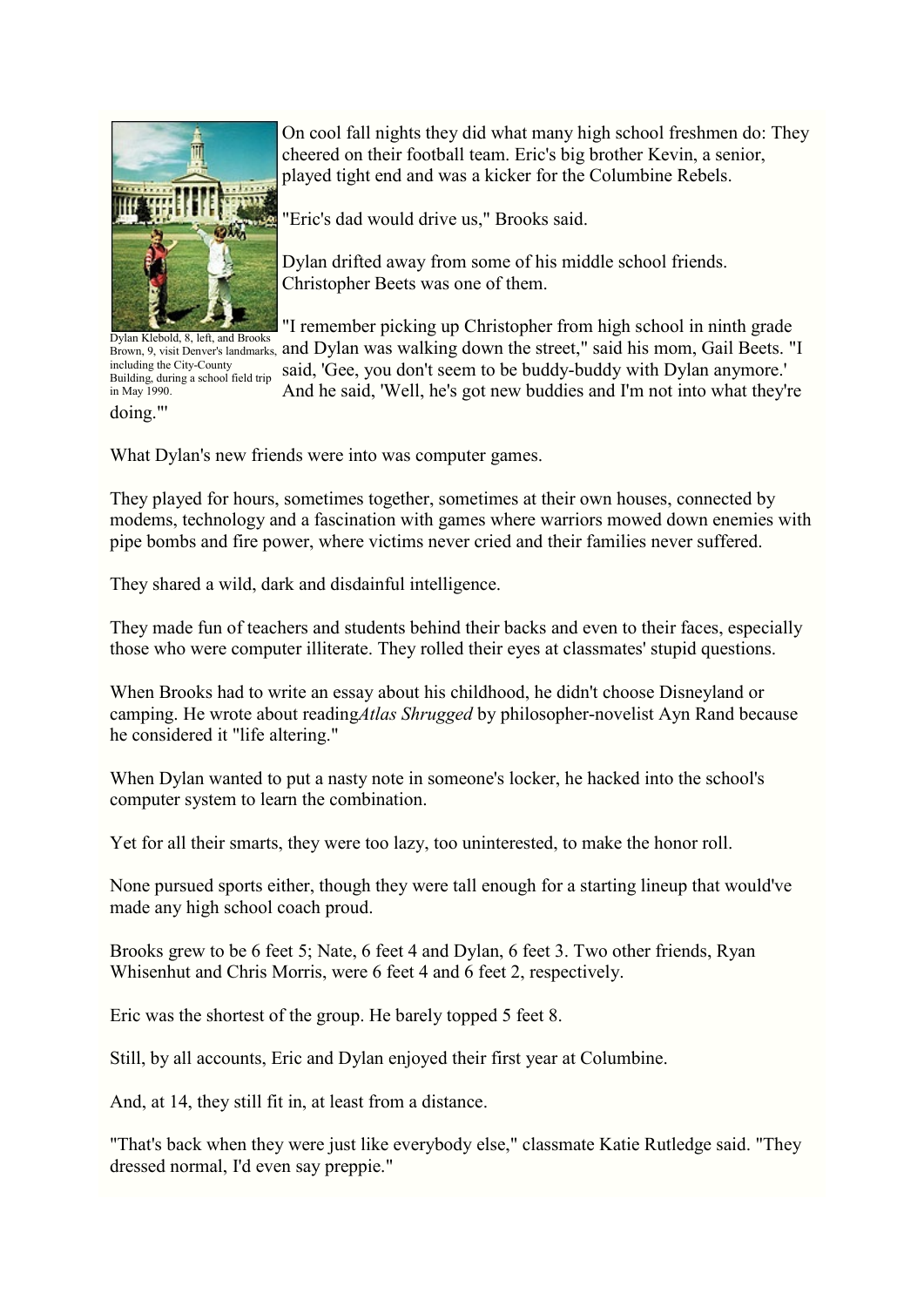

doing."' Dylan Klebold, 8, left, and Brooks including the City-County Building, during a school field trip in May 1990.

On cool fall nights they did what many high school freshmen do: They cheered on their football team. Eric's big brother Kevin, a senior, played tight end and was a kicker for the Columbine Rebels.

"Eric's dad would drive us," Brooks said.

Dylan drifted away from some of his middle school friends. Christopher Beets was one of them.

"I remember picking up Christopher from high school in ninth grade Brown, 9, visit Denver's landmarks, and Dylan was walking down the street," said his mom, Gail Beets. "I

said, 'Gee, you don't seem to be buddy-buddy with Dylan anymore.' And he said, 'Well, he's got new buddies and I'm not into what they're

What Dylan's new friends were into was computer games.

They played for hours, sometimes together, sometimes at their own houses, connected by modems, technology and a fascination with games where warriors mowed down enemies with pipe bombs and fire power, where victims never cried and their families never suffered.

They shared a wild, dark and disdainful intelligence.

They made fun of teachers and students behind their backs and even to their faces, especially those who were computer illiterate. They rolled their eyes at classmates' stupid questions.

When Brooks had to write an essay about his childhood, he didn't choose Disneyland or camping. He wrote about reading*Atlas Shrugged* by philosopher-novelist Ayn Rand because he considered it "life altering."

When Dylan wanted to put a nasty note in someone's locker, he hacked into the school's computer system to learn the combination.

Yet for all their smarts, they were too lazy, too uninterested, to make the honor roll.

None pursued sports either, though they were tall enough for a starting lineup that would've made any high school coach proud.

Brooks grew to be 6 feet 5; Nate, 6 feet 4 and Dylan, 6 feet 3. Two other friends, Ryan Whisenhut and Chris Morris, were 6 feet 4 and 6 feet 2, respectively.

Eric was the shortest of the group. He barely topped 5 feet 8.

Still, by all accounts, Eric and Dylan enjoyed their first year at Columbine.

And, at 14, they still fit in, at least from a distance.

"That's back when they were just like everybody else," classmate Katie Rutledge said. "They dressed normal, I'd even say preppie."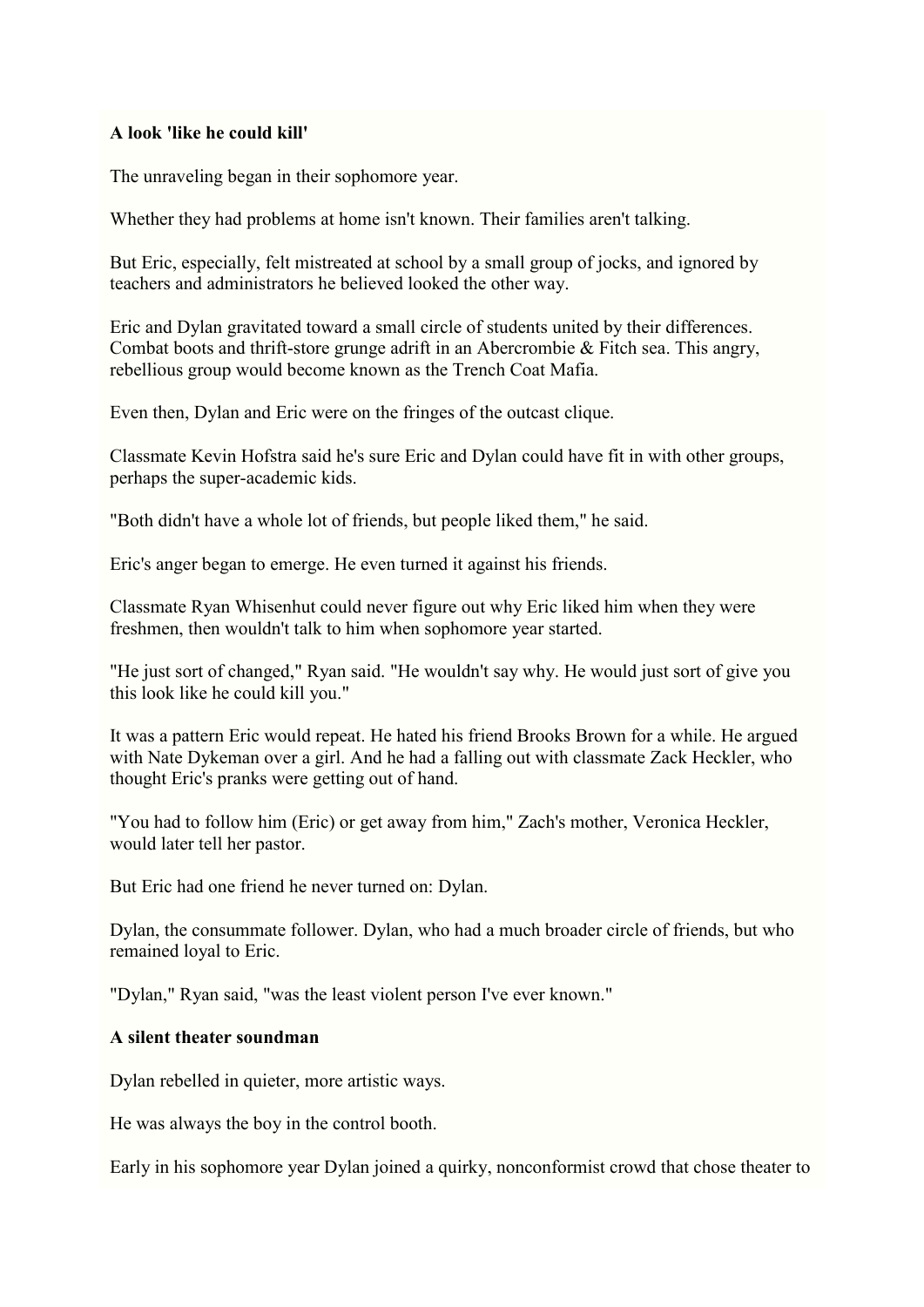#### **A look 'like he could kill'**

The unraveling began in their sophomore year.

Whether they had problems at home isn't known. Their families aren't talking.

But Eric, especially, felt mistreated at school by a small group of jocks, and ignored by teachers and administrators he believed looked the other way.

Eric and Dylan gravitated toward a small circle of students united by their differences. Combat boots and thrift-store grunge adrift in an Abercrombie & Fitch sea. This angry, rebellious group would become known as the Trench Coat Mafia.

Even then, Dylan and Eric were on the fringes of the outcast clique.

Classmate Kevin Hofstra said he's sure Eric and Dylan could have fit in with other groups, perhaps the super-academic kids.

"Both didn't have a whole lot of friends, but people liked them," he said.

Eric's anger began to emerge. He even turned it against his friends.

Classmate Ryan Whisenhut could never figure out why Eric liked him when they were freshmen, then wouldn't talk to him when sophomore year started.

"He just sort of changed," Ryan said. "He wouldn't say why. He would just sort of give you this look like he could kill you."

It was a pattern Eric would repeat. He hated his friend Brooks Brown for a while. He argued with Nate Dykeman over a girl. And he had a falling out with classmate Zack Heckler, who thought Eric's pranks were getting out of hand.

"You had to follow him (Eric) or get away from him," Zach's mother, Veronica Heckler, would later tell her pastor.

But Eric had one friend he never turned on: Dylan.

Dylan, the consummate follower. Dylan, who had a much broader circle of friends, but who remained loyal to Eric.

"Dylan," Ryan said, "was the least violent person I've ever known."

#### **A silent theater soundman**

Dylan rebelled in quieter, more artistic ways.

He was always the boy in the control booth.

Early in his sophomore year Dylan joined a quirky, nonconformist crowd that chose theater to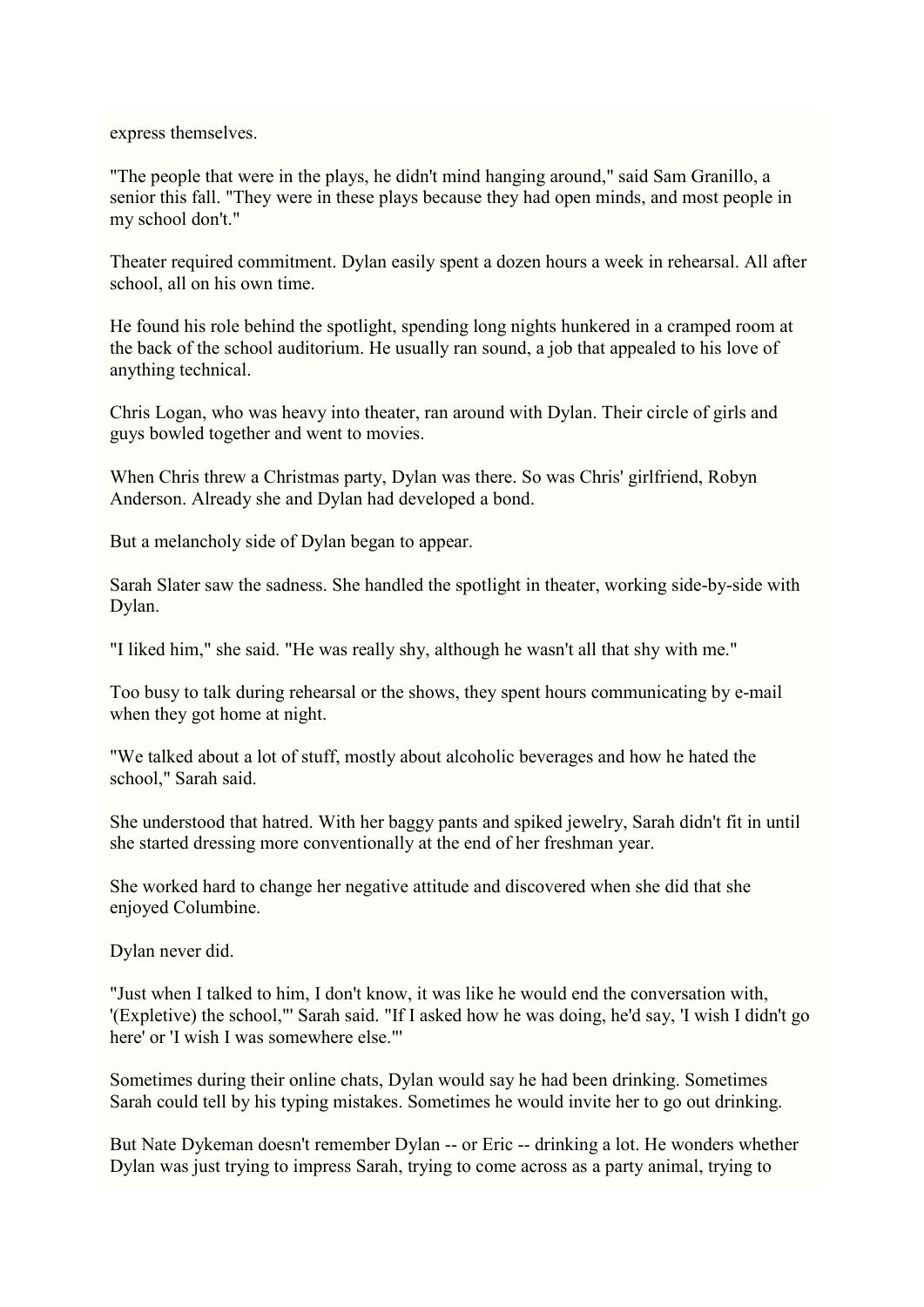express themselves.

"The people that were in the plays, he didn't mind hanging around," said Sam Granillo, a senior this fall. "They were in these plays because they had open minds, and most people in my school don't."

Theater required commitment. Dylan easily spent a dozen hours a week in rehearsal. All after school, all on his own time.

He found his role behind the spotlight, spending long nights hunkered in a cramped room at the back of the school auditorium. He usually ran sound, a job that appealed to his love of anything technical.

Chris Logan, who was heavy into theater, ran around with Dylan. Their circle of girls and guys bowled together and went to movies.

When Chris threw a Christmas party, Dylan was there. So was Chris' girlfriend, Robyn Anderson. Already she and Dylan had developed a bond.

But a melancholy side of Dylan began to appear.

Sarah Slater saw the sadness. She handled the spotlight in theater, working side-by-side with Dylan.

"I liked him," she said. "He was really shy, although he wasn't all that shy with me."

Too busy to talk during rehearsal or the shows, they spent hours communicating by e-mail when they got home at night.

"We talked about a lot of stuff, mostly about alcoholic beverages and how he hated the school," Sarah said.

She understood that hatred. With her baggy pants and spiked jewelry, Sarah didn't fit in until she started dressing more conventionally at the end of her freshman year.

She worked hard to change her negative attitude and discovered when she did that she enjoyed Columbine.

Dylan never did.

"Just when I talked to him, I don't know, it was like he would end the conversation with, '(Expletive) the school,"' Sarah said. "If I asked how he was doing, he'd say, 'I wish I didn't go here' or 'I wish I was somewhere else."'

Sometimes during their online chats, Dylan would say he had been drinking. Sometimes Sarah could tell by his typing mistakes. Sometimes he would invite her to go out drinking.

But Nate Dykeman doesn't remember Dylan -- or Eric -- drinking a lot. He wonders whether Dylan was just trying to impress Sarah, trying to come across as a party animal, trying to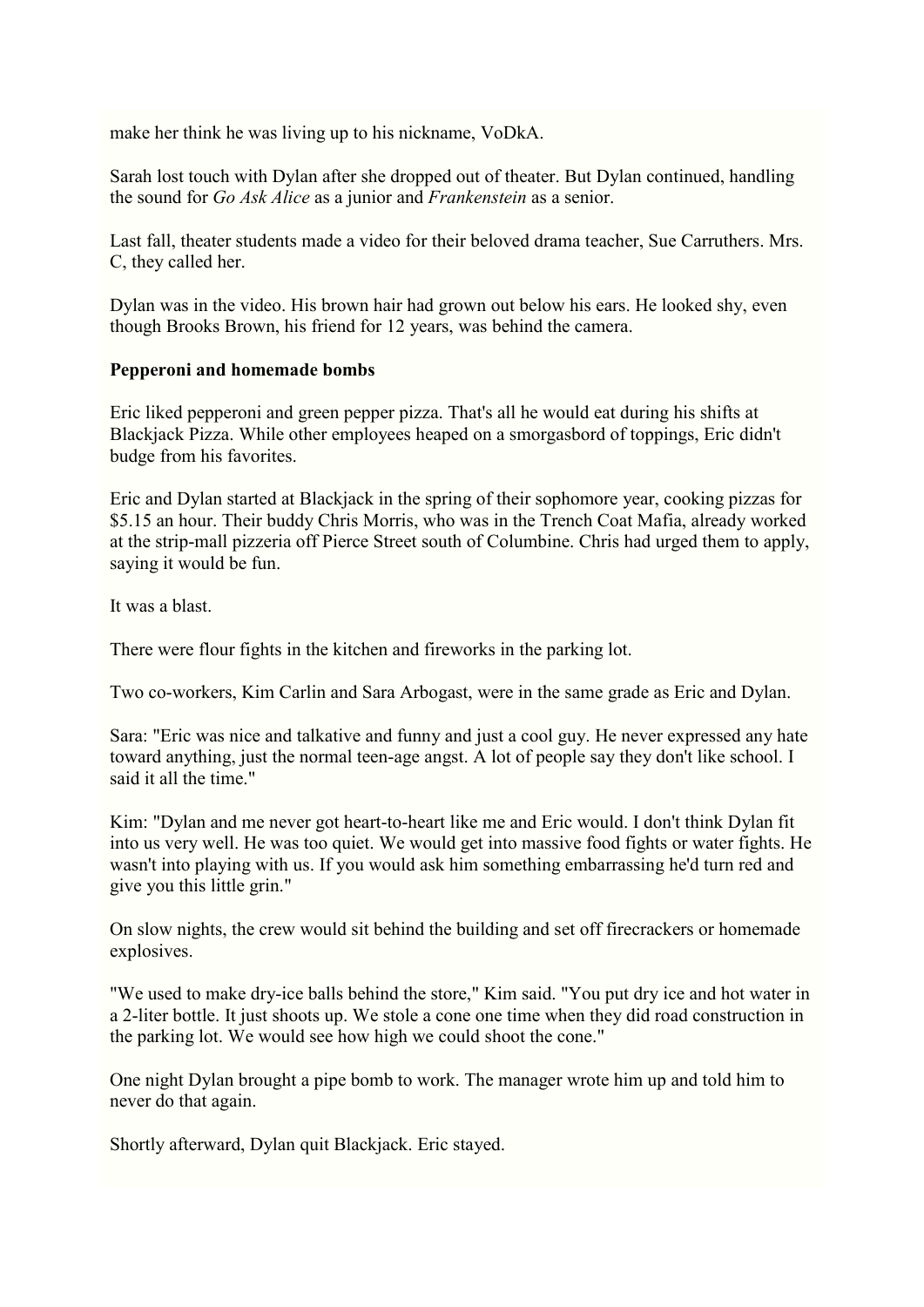make her think he was living up to his nickname, VoDkA.

Sarah lost touch with Dylan after she dropped out of theater. But Dylan continued, handling the sound for *Go Ask Alice* as a junior and *Frankenstein* as a senior.

Last fall, theater students made a video for their beloved drama teacher, Sue Carruthers. Mrs. C, they called her.

Dylan was in the video. His brown hair had grown out below his ears. He looked shy, even though Brooks Brown, his friend for 12 years, was behind the camera.

# **Pepperoni and homemade bombs**

Eric liked pepperoni and green pepper pizza. That's all he would eat during his shifts at Blackjack Pizza. While other employees heaped on a smorgasbord of toppings, Eric didn't budge from his favorites.

Eric and Dylan started at Blackjack in the spring of their sophomore year, cooking pizzas for \$5.15 an hour. Their buddy Chris Morris, who was in the Trench Coat Mafia, already worked at the strip-mall pizzeria off Pierce Street south of Columbine. Chris had urged them to apply, saying it would be fun.

It was a blast.

There were flour fights in the kitchen and fireworks in the parking lot.

Two co-workers, Kim Carlin and Sara Arbogast, were in the same grade as Eric and Dylan.

Sara: "Eric was nice and talkative and funny and just a cool guy. He never expressed any hate toward anything, just the normal teen-age angst. A lot of people say they don't like school. I said it all the time."

Kim: "Dylan and me never got heart-to-heart like me and Eric would. I don't think Dylan fit into us very well. He was too quiet. We would get into massive food fights or water fights. He wasn't into playing with us. If you would ask him something embarrassing he'd turn red and give you this little grin."

On slow nights, the crew would sit behind the building and set off firecrackers or homemade explosives.

"We used to make dry-ice balls behind the store," Kim said. "You put dry ice and hot water in a 2-liter bottle. It just shoots up. We stole a cone one time when they did road construction in the parking lot. We would see how high we could shoot the cone."

One night Dylan brought a pipe bomb to work. The manager wrote him up and told him to never do that again.

Shortly afterward, Dylan quit Blackjack. Eric stayed.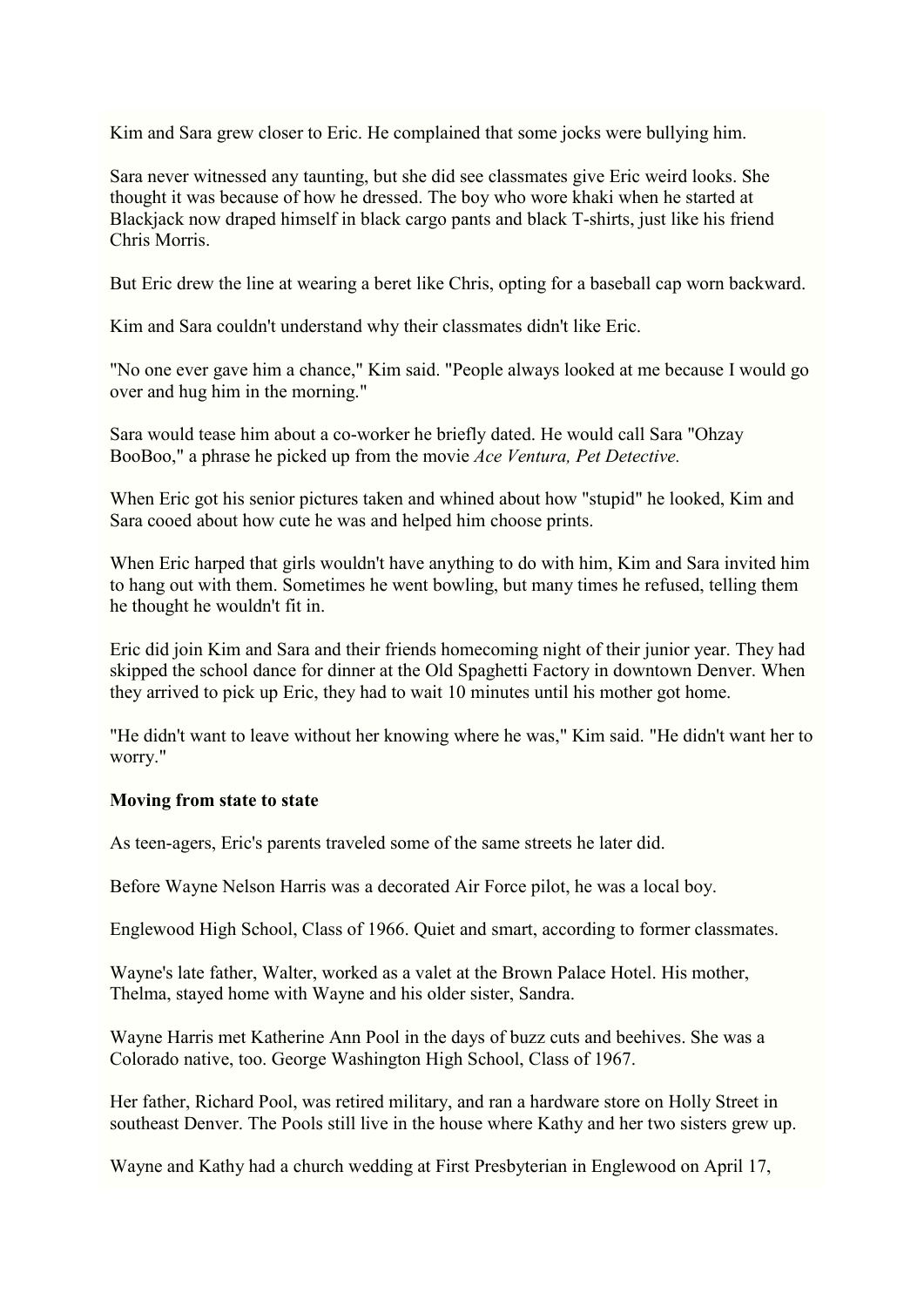Kim and Sara grew closer to Eric. He complained that some jocks were bullying him.

Sara never witnessed any taunting, but she did see classmates give Eric weird looks. She thought it was because of how he dressed. The boy who wore khaki when he started at Blackjack now draped himself in black cargo pants and black T-shirts, just like his friend Chris Morris.

But Eric drew the line at wearing a beret like Chris, opting for a baseball cap worn backward.

Kim and Sara couldn't understand why their classmates didn't like Eric.

"No one ever gave him a chance," Kim said. "People always looked at me because I would go over and hug him in the morning."

Sara would tease him about a co-worker he briefly dated. He would call Sara "Ohzay BooBoo," a phrase he picked up from the movie *Ace Ventura, Pet Detective.*

When Eric got his senior pictures taken and whined about how "stupid" he looked, Kim and Sara cooed about how cute he was and helped him choose prints.

When Eric harped that girls wouldn't have anything to do with him, Kim and Sara invited him to hang out with them. Sometimes he went bowling, but many times he refused, telling them he thought he wouldn't fit in.

Eric did join Kim and Sara and their friends homecoming night of their junior year. They had skipped the school dance for dinner at the Old Spaghetti Factory in downtown Denver. When they arrived to pick up Eric, they had to wait 10 minutes until his mother got home.

"He didn't want to leave without her knowing where he was," Kim said. "He didn't want her to worry."

#### **Moving from state to state**

As teen-agers, Eric's parents traveled some of the same streets he later did.

Before Wayne Nelson Harris was a decorated Air Force pilot, he was a local boy.

Englewood High School, Class of 1966. Quiet and smart, according to former classmates.

Wayne's late father, Walter, worked as a valet at the Brown Palace Hotel. His mother, Thelma, stayed home with Wayne and his older sister, Sandra.

Wayne Harris met Katherine Ann Pool in the days of buzz cuts and beehives. She was a Colorado native, too. George Washington High School, Class of 1967.

Her father, Richard Pool, was retired military, and ran a hardware store on Holly Street in southeast Denver. The Pools still live in the house where Kathy and her two sisters grew up.

Wayne and Kathy had a church wedding at First Presbyterian in Englewood on April 17,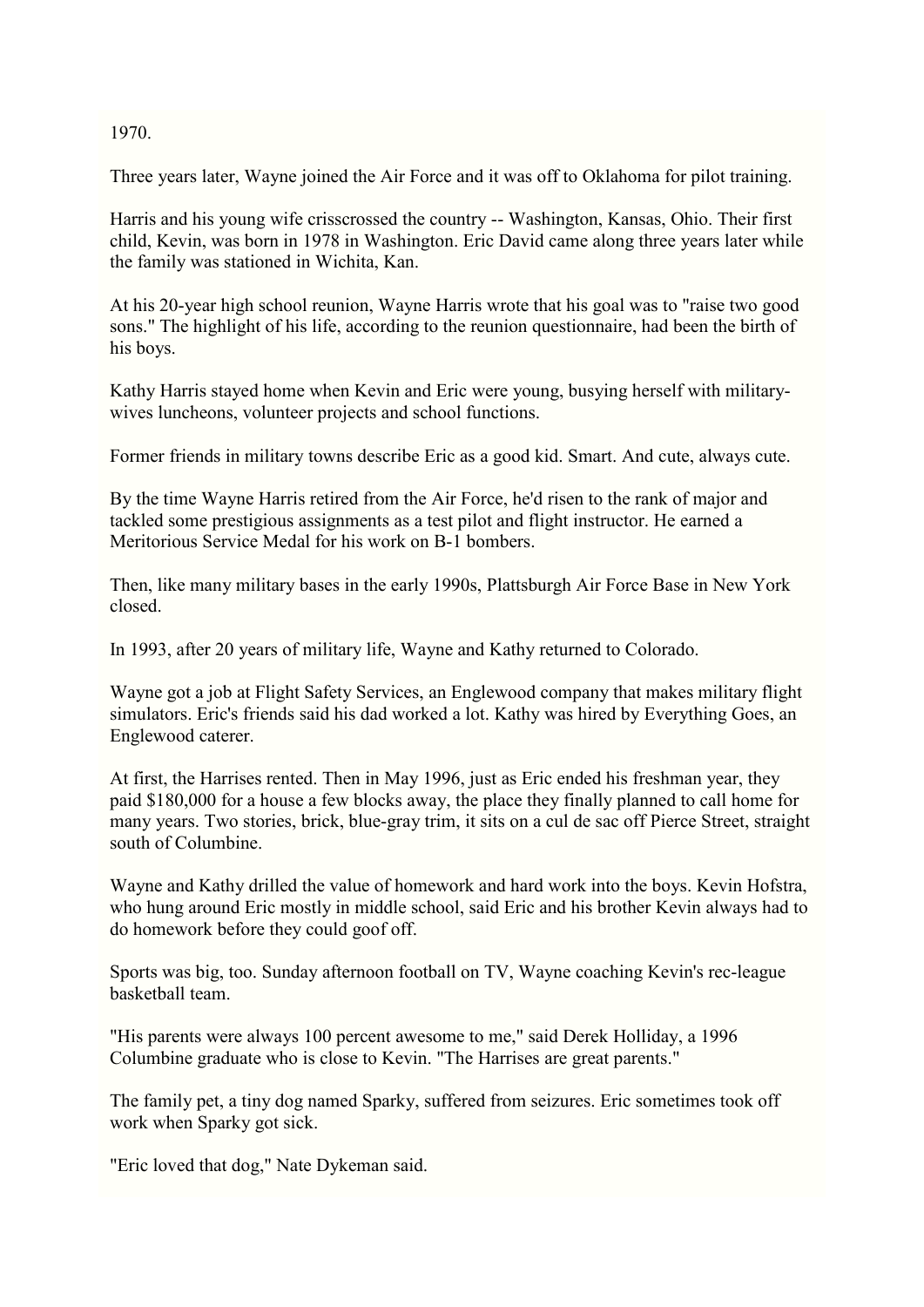#### 1970.

Three years later, Wayne joined the Air Force and it was off to Oklahoma for pilot training.

Harris and his young wife crisscrossed the country -- Washington, Kansas, Ohio. Their first child, Kevin, was born in 1978 in Washington. Eric David came along three years later while the family was stationed in Wichita, Kan.

At his 20-year high school reunion, Wayne Harris wrote that his goal was to "raise two good sons." The highlight of his life, according to the reunion questionnaire, had been the birth of his boys.

Kathy Harris stayed home when Kevin and Eric were young, busying herself with militarywives luncheons, volunteer projects and school functions.

Former friends in military towns describe Eric as a good kid. Smart. And cute, always cute.

By the time Wayne Harris retired from the Air Force, he'd risen to the rank of major and tackled some prestigious assignments as a test pilot and flight instructor. He earned a Meritorious Service Medal for his work on B-1 bombers.

Then, like many military bases in the early 1990s, Plattsburgh Air Force Base in New York closed.

In 1993, after 20 years of military life, Wayne and Kathy returned to Colorado.

Wayne got a job at Flight Safety Services, an Englewood company that makes military flight simulators. Eric's friends said his dad worked a lot. Kathy was hired by Everything Goes, an Englewood caterer.

At first, the Harrises rented. Then in May 1996, just as Eric ended his freshman year, they paid \$180,000 for a house a few blocks away, the place they finally planned to call home for many years. Two stories, brick, blue-gray trim, it sits on a cul de sac off Pierce Street, straight south of Columbine.

Wayne and Kathy drilled the value of homework and hard work into the boys. Kevin Hofstra, who hung around Eric mostly in middle school, said Eric and his brother Kevin always had to do homework before they could goof off.

Sports was big, too. Sunday afternoon football on TV, Wayne coaching Kevin's rec-league basketball team.

"His parents were always 100 percent awesome to me," said Derek Holliday, a 1996 Columbine graduate who is close to Kevin. "The Harrises are great parents."

The family pet, a tiny dog named Sparky, suffered from seizures. Eric sometimes took off work when Sparky got sick.

"Eric loved that dog," Nate Dykeman said.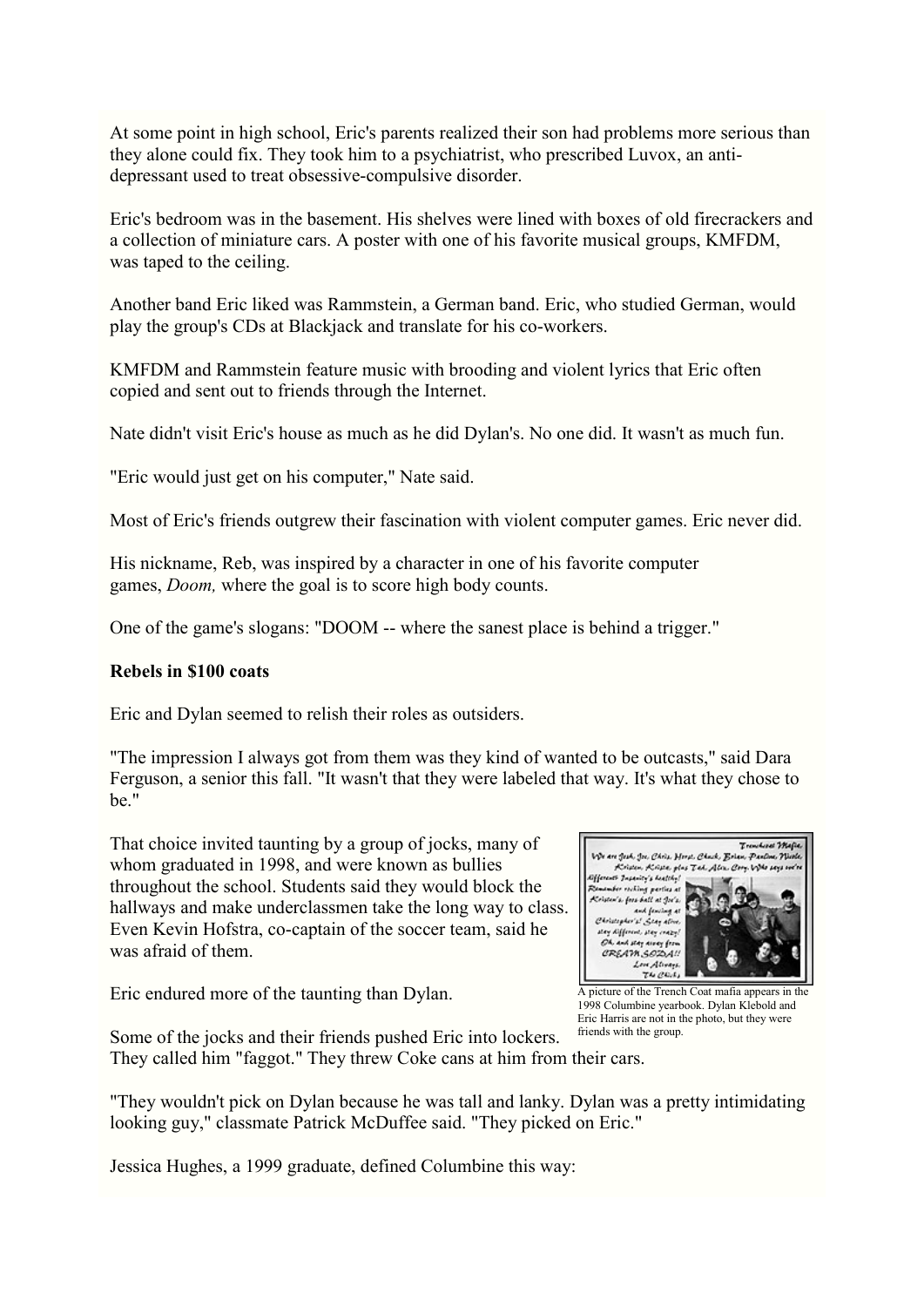At some point in high school, Eric's parents realized their son had problems more serious than they alone could fix. They took him to a psychiatrist, who prescribed Luvox, an antidepressant used to treat obsessive-compulsive disorder.

Eric's bedroom was in the basement. His shelves were lined with boxes of old firecrackers and a collection of miniature cars. A poster with one of his favorite musical groups, KMFDM, was taped to the ceiling.

Another band Eric liked was Rammstein, a German band. Eric, who studied German, would play the group's CDs at Blackjack and translate for his co-workers.

KMFDM and Rammstein feature music with brooding and violent lyrics that Eric often copied and sent out to friends through the Internet.

Nate didn't visit Eric's house as much as he did Dylan's. No one did. It wasn't as much fun.

"Eric would just get on his computer," Nate said.

Most of Eric's friends outgrew their fascination with violent computer games. Eric never did.

His nickname, Reb, was inspired by a character in one of his favorite computer games, *Doom,* where the goal is to score high body counts.

One of the game's slogans: "DOOM -- where the sanest place is behind a trigger."

#### **Rebels in \$100 coats**

Eric and Dylan seemed to relish their roles as outsiders.

"The impression I always got from them was they kind of wanted to be outcasts," said Dara Ferguson, a senior this fall. "It wasn't that they were labeled that way. It's what they chose to be."

That choice invited taunting by a group of jocks, many of whom graduated in 1998, and were known as bullies throughout the school. Students said they would block the hallways and make underclassmen take the long way to class. Even Kevin Hofstra, co-captain of the soccer team, said he was afraid of them.

Eric endured more of the taunting than Dylan.



A picture of the Trench Coat mafia appears in the 1998 Columbine yearbook. Dylan Klebold and Eric Harris are not in the photo, but they were friends with the group.

Some of the jocks and their friends pushed Eric into lockers. They called him "faggot." They threw Coke cans at him from their cars.

"They wouldn't pick on Dylan because he was tall and lanky. Dylan was a pretty intimidating looking guy," classmate Patrick McDuffee said. "They picked on Eric."

Jessica Hughes, a 1999 graduate, defined Columbine this way: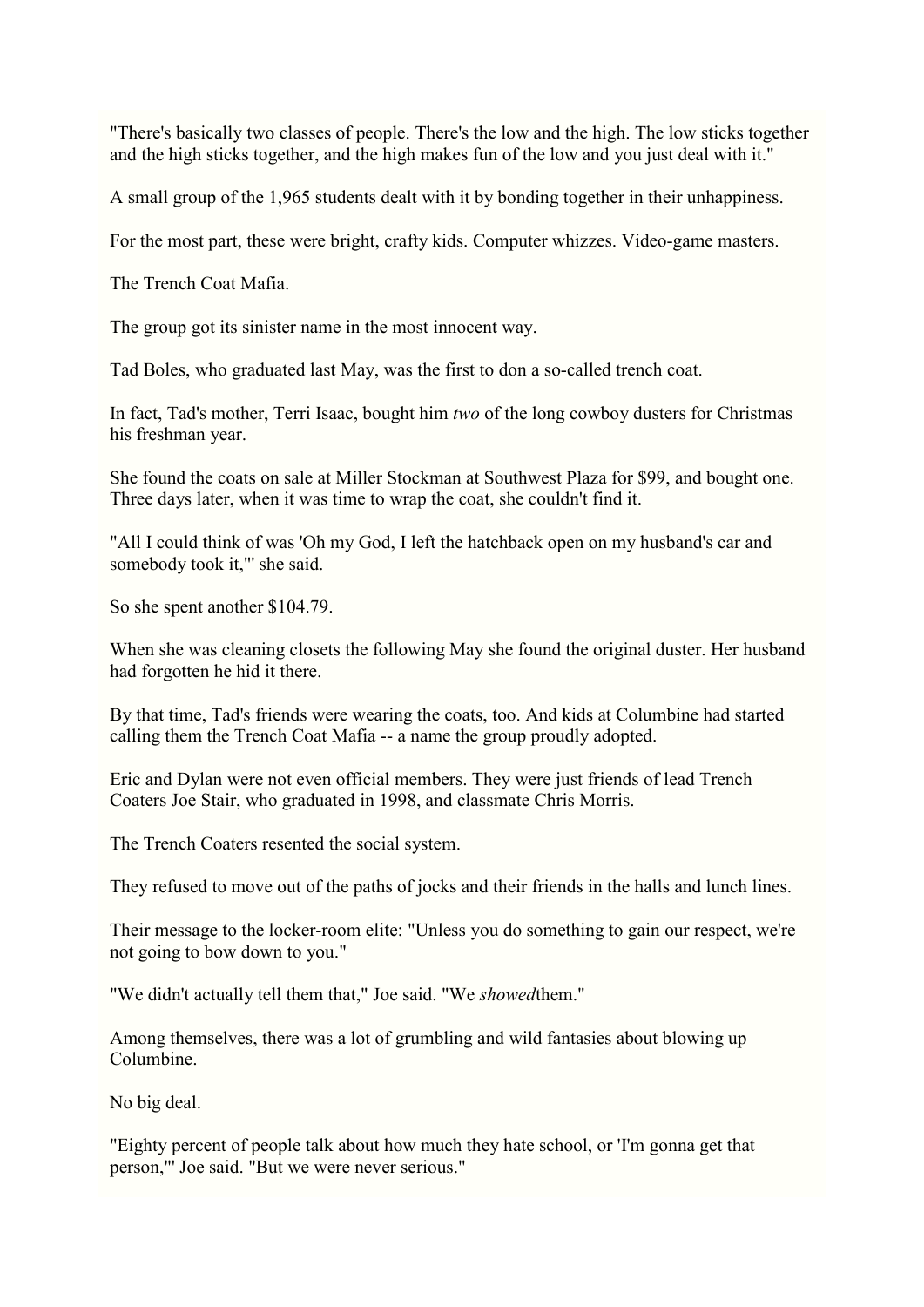"There's basically two classes of people. There's the low and the high. The low sticks together and the high sticks together, and the high makes fun of the low and you just deal with it."

A small group of the 1,965 students dealt with it by bonding together in their unhappiness.

For the most part, these were bright, crafty kids. Computer whizzes. Video-game masters.

The Trench Coat Mafia.

The group got its sinister name in the most innocent way.

Tad Boles, who graduated last May, was the first to don a so-called trench coat.

In fact, Tad's mother, Terri Isaac, bought him *two* of the long cowboy dusters for Christmas his freshman year.

She found the coats on sale at Miller Stockman at Southwest Plaza for \$99, and bought one. Three days later, when it was time to wrap the coat, she couldn't find it.

"All I could think of was 'Oh my God, I left the hatchback open on my husband's car and somebody took it,"' she said.

So she spent another \$104.79.

When she was cleaning closets the following May she found the original duster. Her husband had forgotten he hid it there.

By that time, Tad's friends were wearing the coats, too. And kids at Columbine had started calling them the Trench Coat Mafia -- a name the group proudly adopted.

Eric and Dylan were not even official members. They were just friends of lead Trench Coaters Joe Stair, who graduated in 1998, and classmate Chris Morris.

The Trench Coaters resented the social system.

They refused to move out of the paths of jocks and their friends in the halls and lunch lines.

Their message to the locker-room elite: "Unless you do something to gain our respect, we're not going to bow down to you."

"We didn't actually tell them that," Joe said. "We *showed*them."

Among themselves, there was a lot of grumbling and wild fantasies about blowing up Columbine.

No big deal.

"Eighty percent of people talk about how much they hate school, or 'I'm gonna get that person,"' Joe said. "But we were never serious."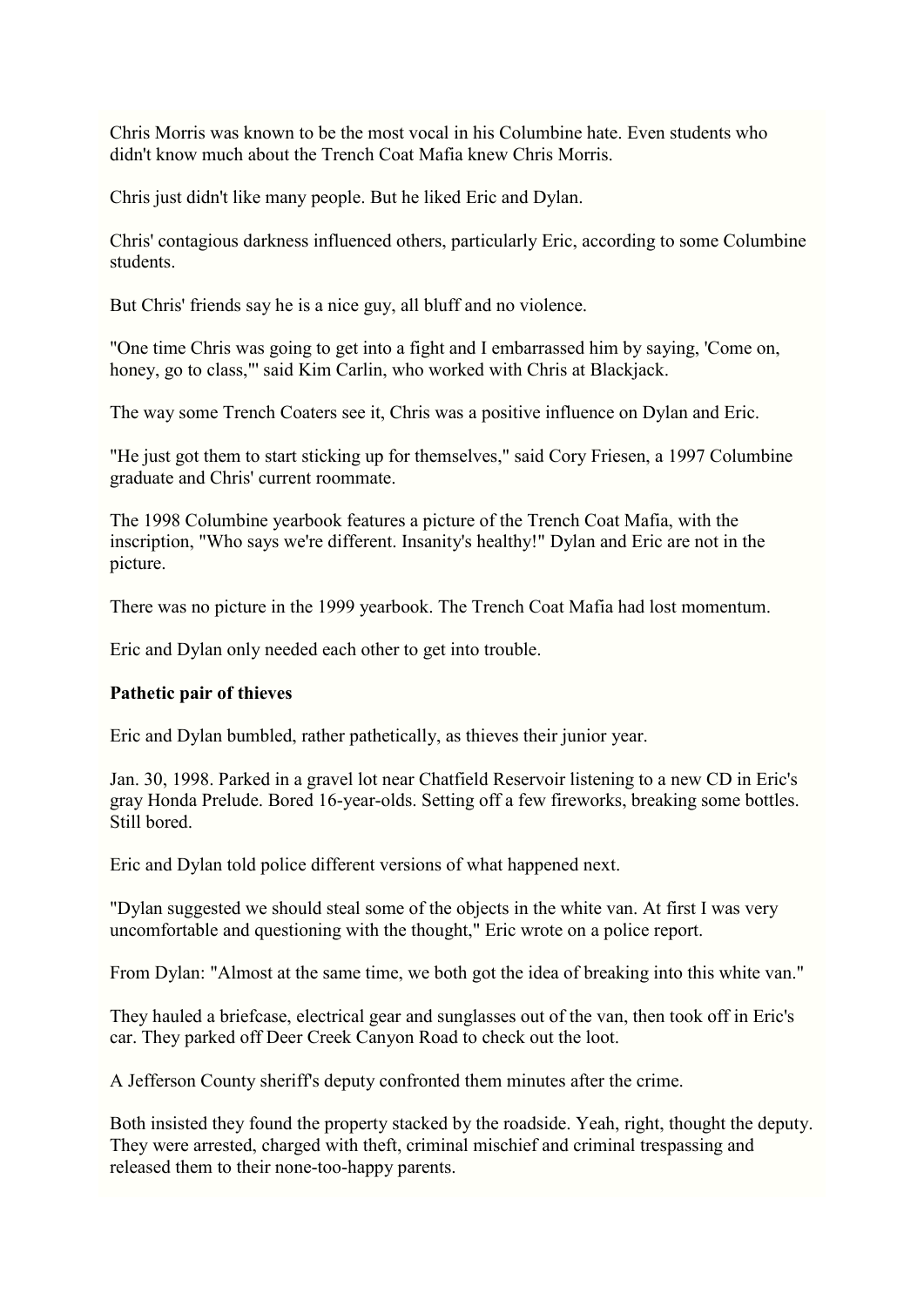Chris Morris was known to be the most vocal in his Columbine hate. Even students who didn't know much about the Trench Coat Mafia knew Chris Morris.

Chris just didn't like many people. But he liked Eric and Dylan.

Chris' contagious darkness influenced others, particularly Eric, according to some Columbine students.

But Chris' friends say he is a nice guy, all bluff and no violence.

"One time Chris was going to get into a fight and I embarrassed him by saying, 'Come on, honey, go to class,"' said Kim Carlin, who worked with Chris at Blackjack.

The way some Trench Coaters see it, Chris was a positive influence on Dylan and Eric.

"He just got them to start sticking up for themselves," said Cory Friesen, a 1997 Columbine graduate and Chris' current roommate.

The 1998 Columbine yearbook features a picture of the Trench Coat Mafia, with the inscription, "Who says we're different. Insanity's healthy!" Dylan and Eric are not in the picture.

There was no picture in the 1999 yearbook. The Trench Coat Mafia had lost momentum.

Eric and Dylan only needed each other to get into trouble.

#### **Pathetic pair of thieves**

Eric and Dylan bumbled, rather pathetically, as thieves their junior year.

Jan. 30, 1998. Parked in a gravel lot near Chatfield Reservoir listening to a new CD in Eric's gray Honda Prelude. Bored 16-year-olds. Setting off a few fireworks, breaking some bottles. Still bored.

Eric and Dylan told police different versions of what happened next.

"Dylan suggested we should steal some of the objects in the white van. At first I was very uncomfortable and questioning with the thought," Eric wrote on a police report.

From Dylan: "Almost at the same time, we both got the idea of breaking into this white van."

They hauled a briefcase, electrical gear and sunglasses out of the van, then took off in Eric's car. They parked off Deer Creek Canyon Road to check out the loot.

A Jefferson County sheriff's deputy confronted them minutes after the crime.

Both insisted they found the property stacked by the roadside. Yeah, right, thought the deputy. They were arrested, charged with theft, criminal mischief and criminal trespassing and released them to their none-too-happy parents.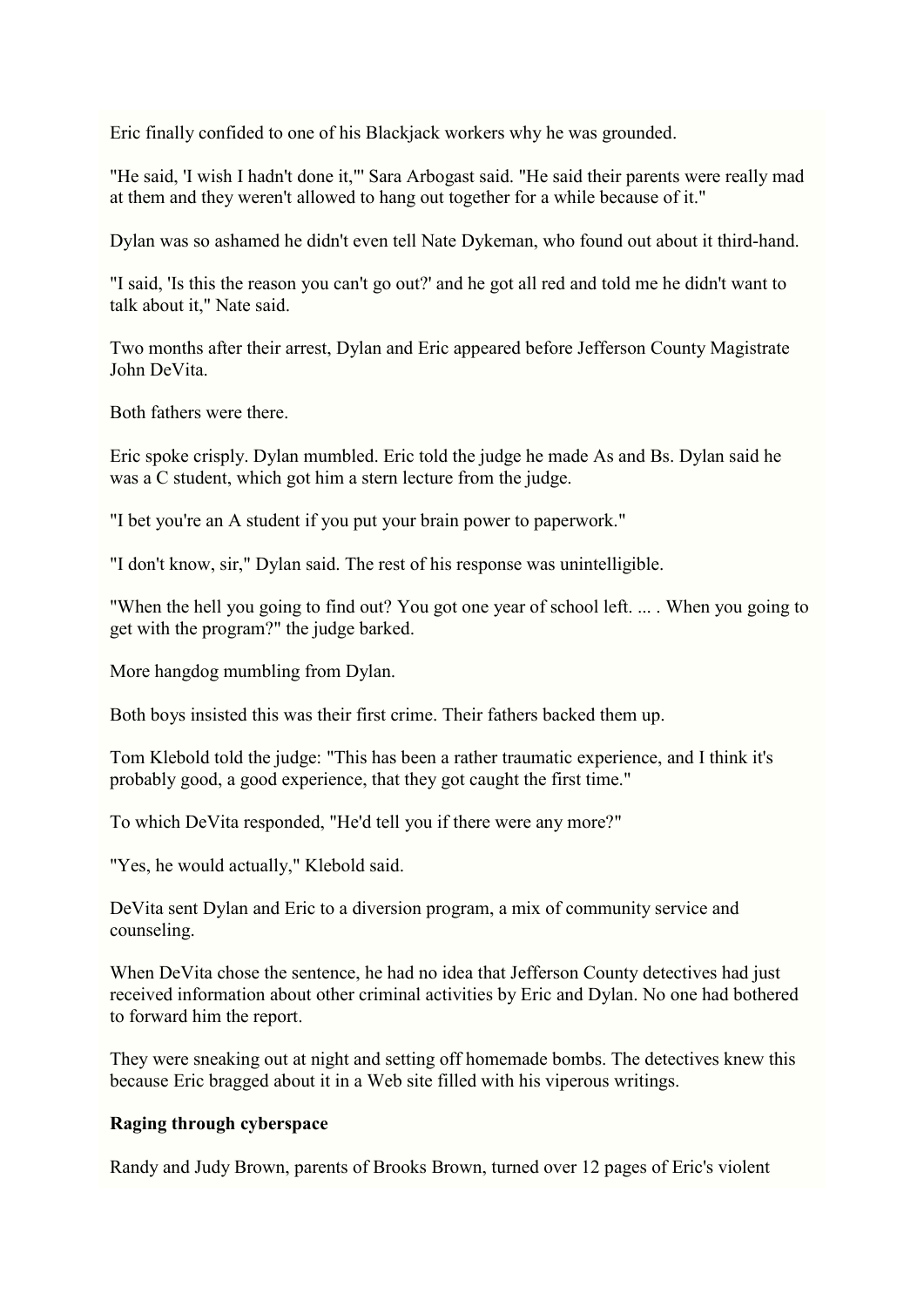Eric finally confided to one of his Blackjack workers why he was grounded.

"He said, 'I wish I hadn't done it,"' Sara Arbogast said. "He said their parents were really mad at them and they weren't allowed to hang out together for a while because of it."

Dylan was so ashamed he didn't even tell Nate Dykeman, who found out about it third-hand.

"I said, 'Is this the reason you can't go out?' and he got all red and told me he didn't want to talk about it," Nate said.

Two months after their arrest, Dylan and Eric appeared before Jefferson County Magistrate John DeVita.

Both fathers were there.

Eric spoke crisply. Dylan mumbled. Eric told the judge he made As and Bs. Dylan said he was a C student, which got him a stern lecture from the judge.

"I bet you're an A student if you put your brain power to paperwork."

"I don't know, sir," Dylan said. The rest of his response was unintelligible.

"When the hell you going to find out? You got one year of school left. ... . When you going to get with the program?" the judge barked.

More hangdog mumbling from Dylan.

Both boys insisted this was their first crime. Their fathers backed them up.

Tom Klebold told the judge: "This has been a rather traumatic experience, and I think it's probably good, a good experience, that they got caught the first time."

To which DeVita responded, "He'd tell you if there were any more?"

"Yes, he would actually," Klebold said.

DeVita sent Dylan and Eric to a diversion program, a mix of community service and counseling.

When DeVita chose the sentence, he had no idea that Jefferson County detectives had just received information about other criminal activities by Eric and Dylan. No one had bothered to forward him the report.

They were sneaking out at night and setting off homemade bombs. The detectives knew this because Eric bragged about it in a Web site filled with his viperous writings.

#### **Raging through cyberspace**

Randy and Judy Brown, parents of Brooks Brown, turned over 12 pages of Eric's violent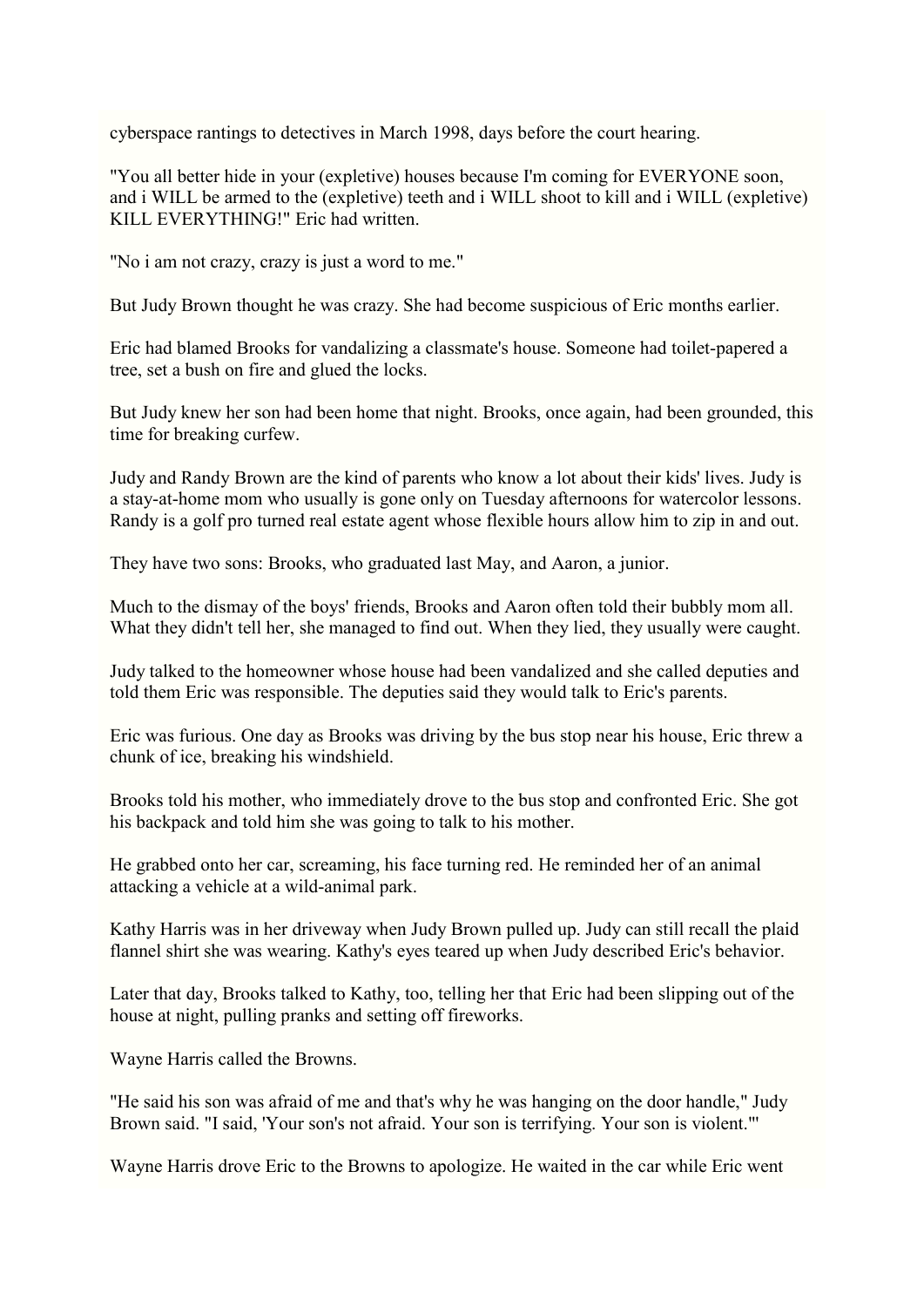cyberspace rantings to detectives in March 1998, days before the court hearing.

"You all better hide in your (expletive) houses because I'm coming for EVERYONE soon, and i WILL be armed to the (expletive) teeth and i WILL shoot to kill and i WILL (expletive) KILL EVERYTHING!" Eric had written.

"No i am not crazy, crazy is just a word to me."

But Judy Brown thought he was crazy. She had become suspicious of Eric months earlier.

Eric had blamed Brooks for vandalizing a classmate's house. Someone had toilet-papered a tree, set a bush on fire and glued the locks.

But Judy knew her son had been home that night. Brooks, once again, had been grounded, this time for breaking curfew.

Judy and Randy Brown are the kind of parents who know a lot about their kids' lives. Judy is a stay-at-home mom who usually is gone only on Tuesday afternoons for watercolor lessons. Randy is a golf pro turned real estate agent whose flexible hours allow him to zip in and out.

They have two sons: Brooks, who graduated last May, and Aaron, a junior.

Much to the dismay of the boys' friends, Brooks and Aaron often told their bubbly mom all. What they didn't tell her, she managed to find out. When they lied, they usually were caught.

Judy talked to the homeowner whose house had been vandalized and she called deputies and told them Eric was responsible. The deputies said they would talk to Eric's parents.

Eric was furious. One day as Brooks was driving by the bus stop near his house, Eric threw a chunk of ice, breaking his windshield.

Brooks told his mother, who immediately drove to the bus stop and confronted Eric. She got his backpack and told him she was going to talk to his mother.

He grabbed onto her car, screaming, his face turning red. He reminded her of an animal attacking a vehicle at a wild-animal park.

Kathy Harris was in her driveway when Judy Brown pulled up. Judy can still recall the plaid flannel shirt she was wearing. Kathy's eyes teared up when Judy described Eric's behavior.

Later that day, Brooks talked to Kathy, too, telling her that Eric had been slipping out of the house at night, pulling pranks and setting off fireworks.

Wayne Harris called the Browns.

"He said his son was afraid of me and that's why he was hanging on the door handle," Judy Brown said. "I said, 'Your son's not afraid. Your son is terrifying. Your son is violent."'

Wayne Harris drove Eric to the Browns to apologize. He waited in the car while Eric went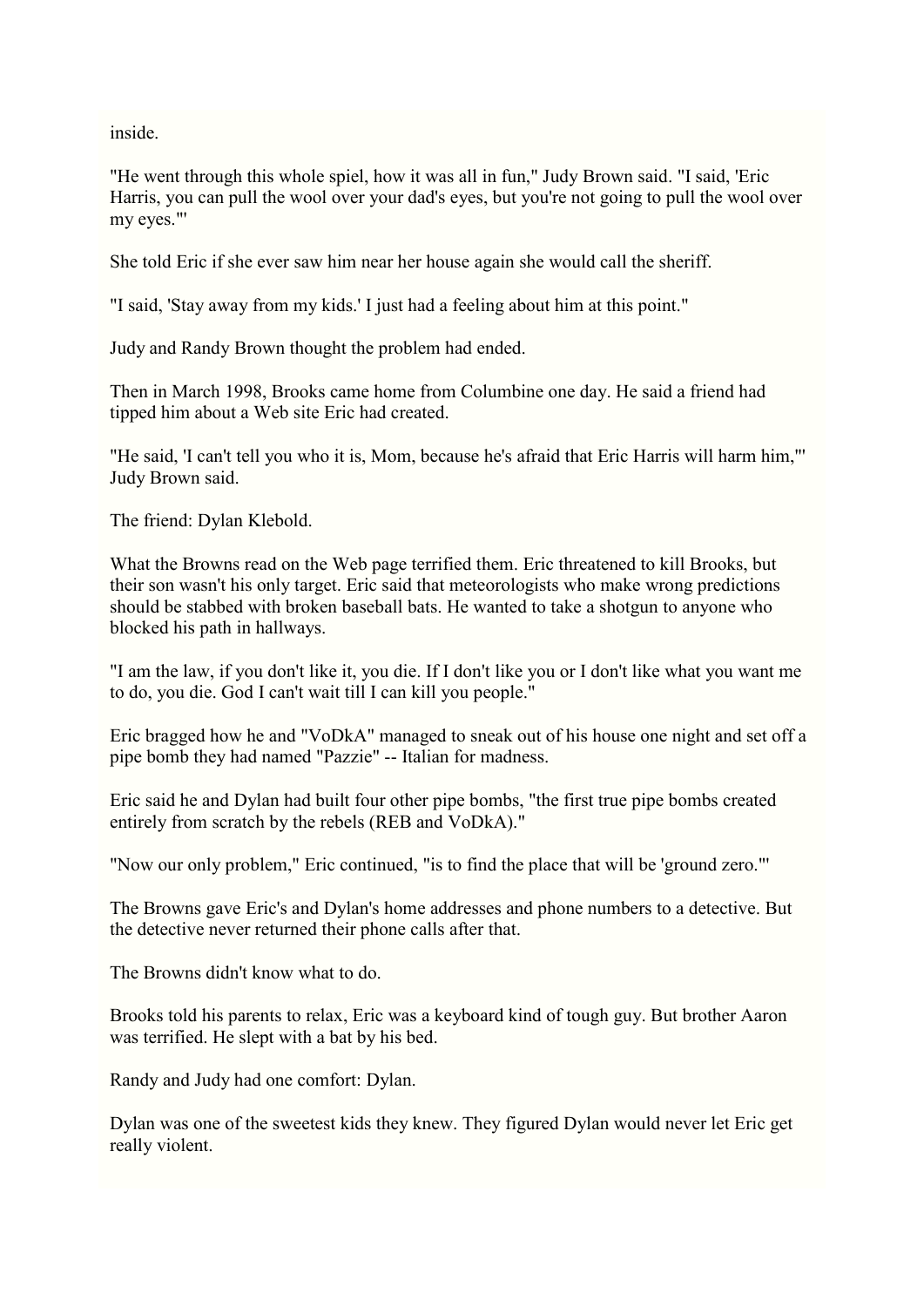inside.

"He went through this whole spiel, how it was all in fun," Judy Brown said. "I said, 'Eric Harris, you can pull the wool over your dad's eyes, but you're not going to pull the wool over my eyes."'

She told Eric if she ever saw him near her house again she would call the sheriff.

"I said, 'Stay away from my kids.' I just had a feeling about him at this point."

Judy and Randy Brown thought the problem had ended.

Then in March 1998, Brooks came home from Columbine one day. He said a friend had tipped him about a Web site Eric had created.

"He said, 'I can't tell you who it is, Mom, because he's afraid that Eric Harris will harm him,"' Judy Brown said.

The friend: Dylan Klebold.

What the Browns read on the Web page terrified them. Eric threatened to kill Brooks, but their son wasn't his only target. Eric said that meteorologists who make wrong predictions should be stabbed with broken baseball bats. He wanted to take a shotgun to anyone who blocked his path in hallways.

"I am the law, if you don't like it, you die. If I don't like you or I don't like what you want me to do, you die. God I can't wait till I can kill you people."

Eric bragged how he and "VoDkA" managed to sneak out of his house one night and set off a pipe bomb they had named "Pazzie" -- Italian for madness.

Eric said he and Dylan had built four other pipe bombs, "the first true pipe bombs created entirely from scratch by the rebels (REB and VoDkA)."

"Now our only problem," Eric continued, "is to find the place that will be 'ground zero."'

The Browns gave Eric's and Dylan's home addresses and phone numbers to a detective. But the detective never returned their phone calls after that.

The Browns didn't know what to do.

Brooks told his parents to relax, Eric was a keyboard kind of tough guy. But brother Aaron was terrified. He slept with a bat by his bed.

Randy and Judy had one comfort: Dylan.

Dylan was one of the sweetest kids they knew. They figured Dylan would never let Eric get really violent.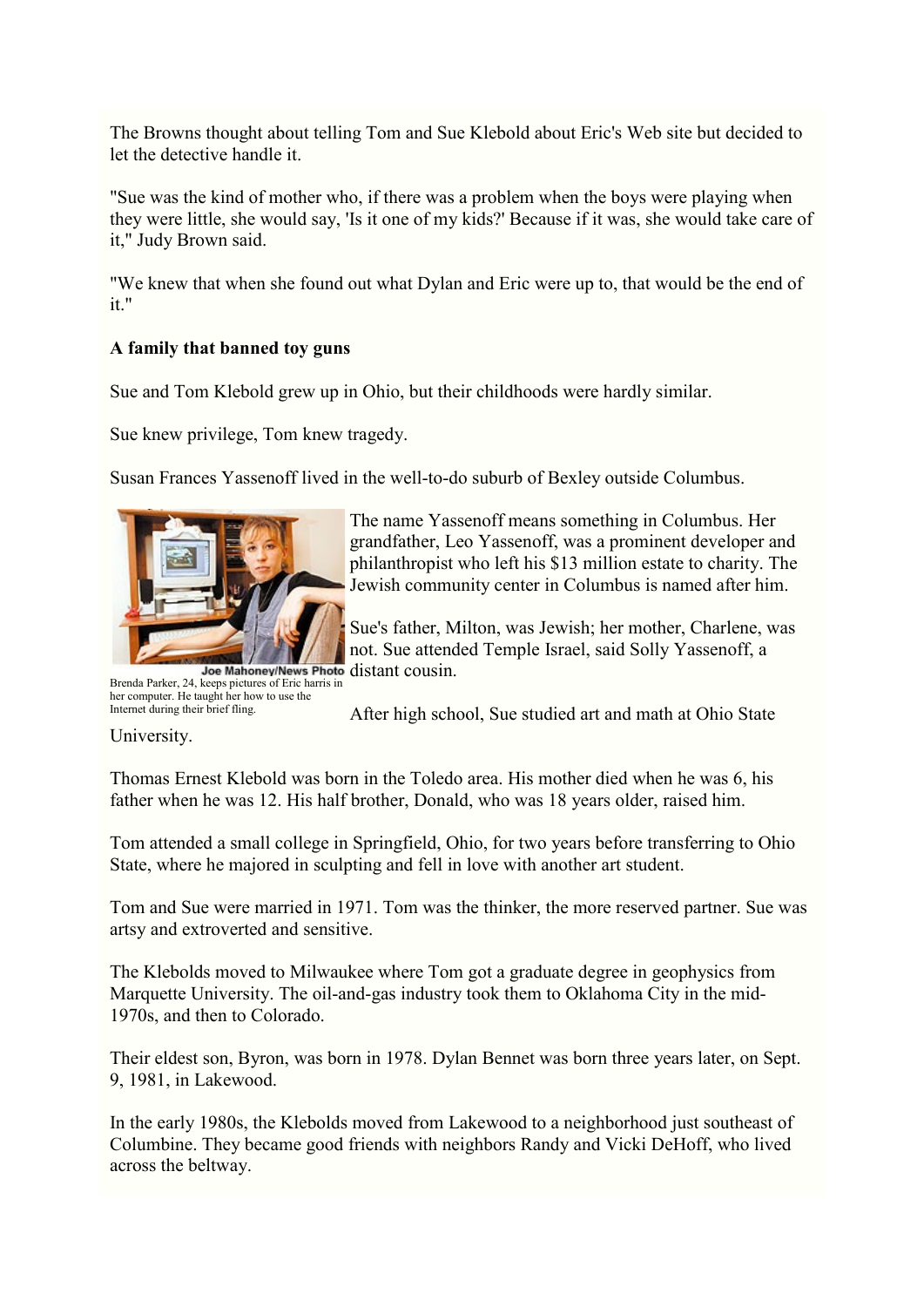The Browns thought about telling Tom and Sue Klebold about Eric's Web site but decided to let the detective handle it.

"Sue was the kind of mother who, if there was a problem when the boys were playing when they were little, she would say, 'Is it one of my kids?' Because if it was, she would take care of it," Judy Brown said.

"We knew that when she found out what Dylan and Eric were up to, that would be the end of it."

# **A family that banned toy guns**

Sue and Tom Klebold grew up in Ohio, but their childhoods were hardly similar.

Sue knew privilege, Tom knew tragedy.

Susan Frances Yassenoff lived in the well-to-do suburb of Bexley outside Columbus.



The name Yassenoff means something in Columbus. Her grandfather, Leo Yassenoff, was a prominent developer and philanthropist who left his \$13 million estate to charity. The Jewish community center in Columbus is named after him.

Sue's father, Milton, was Jewish; her mother, Charlene, was not. Sue attended Temple Israel, said Solly Yassenoff, a Joe Mahoney/News Photo distant cousin.

Brenda Parker, 24, keeps pictures of Eric harris in her computer. He taught her how to use the Internet during their brief fling.

After high school, Sue studied art and math at Ohio State

University.

Thomas Ernest Klebold was born in the Toledo area. His mother died when he was 6, his father when he was 12. His half brother, Donald, who was 18 years older, raised him.

Tom attended a small college in Springfield, Ohio, for two years before transferring to Ohio State, where he majored in sculpting and fell in love with another art student.

Tom and Sue were married in 1971. Tom was the thinker, the more reserved partner. Sue was artsy and extroverted and sensitive.

The Klebolds moved to Milwaukee where Tom got a graduate degree in geophysics from Marquette University. The oil-and-gas industry took them to Oklahoma City in the mid-1970s, and then to Colorado.

Their eldest son, Byron, was born in 1978. Dylan Bennet was born three years later, on Sept. 9, 1981, in Lakewood.

In the early 1980s, the Klebolds moved from Lakewood to a neighborhood just southeast of Columbine. They became good friends with neighbors Randy and Vicki DeHoff, who lived across the beltway.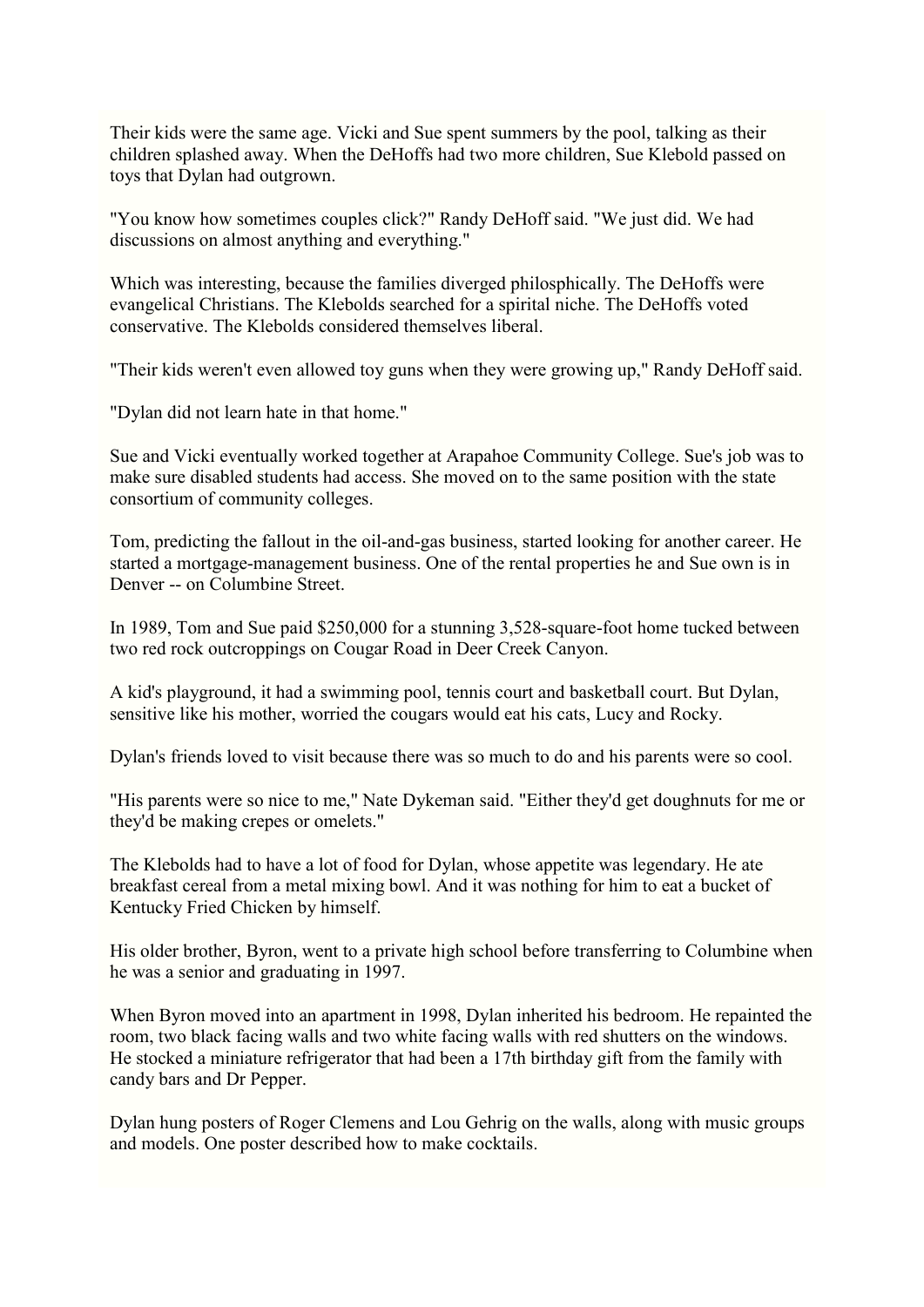Their kids were the same age. Vicki and Sue spent summers by the pool, talking as their children splashed away. When the DeHoffs had two more children, Sue Klebold passed on toys that Dylan had outgrown.

"You know how sometimes couples click?" Randy DeHoff said. "We just did. We had discussions on almost anything and everything."

Which was interesting, because the families diverged philosphically. The DeHoffs were evangelical Christians. The Klebolds searched for a spirital niche. The DeHoffs voted conservative. The Klebolds considered themselves liberal.

"Their kids weren't even allowed toy guns when they were growing up," Randy DeHoff said.

"Dylan did not learn hate in that home."

Sue and Vicki eventually worked together at Arapahoe Community College. Sue's job was to make sure disabled students had access. She moved on to the same position with the state consortium of community colleges.

Tom, predicting the fallout in the oil-and-gas business, started looking for another career. He started a mortgage-management business. One of the rental properties he and Sue own is in Denver -- on Columbine Street.

In 1989, Tom and Sue paid \$250,000 for a stunning 3,528-square-foot home tucked between two red rock outcroppings on Cougar Road in Deer Creek Canyon.

A kid's playground, it had a swimming pool, tennis court and basketball court. But Dylan, sensitive like his mother, worried the cougars would eat his cats, Lucy and Rocky.

Dylan's friends loved to visit because there was so much to do and his parents were so cool.

"His parents were so nice to me," Nate Dykeman said. "Either they'd get doughnuts for me or they'd be making crepes or omelets."

The Klebolds had to have a lot of food for Dylan, whose appetite was legendary. He ate breakfast cereal from a metal mixing bowl. And it was nothing for him to eat a bucket of Kentucky Fried Chicken by himself.

His older brother, Byron, went to a private high school before transferring to Columbine when he was a senior and graduating in 1997.

When Byron moved into an apartment in 1998, Dylan inherited his bedroom. He repainted the room, two black facing walls and two white facing walls with red shutters on the windows. He stocked a miniature refrigerator that had been a 17th birthday gift from the family with candy bars and Dr Pepper.

Dylan hung posters of Roger Clemens and Lou Gehrig on the walls, along with music groups and models. One poster described how to make cocktails.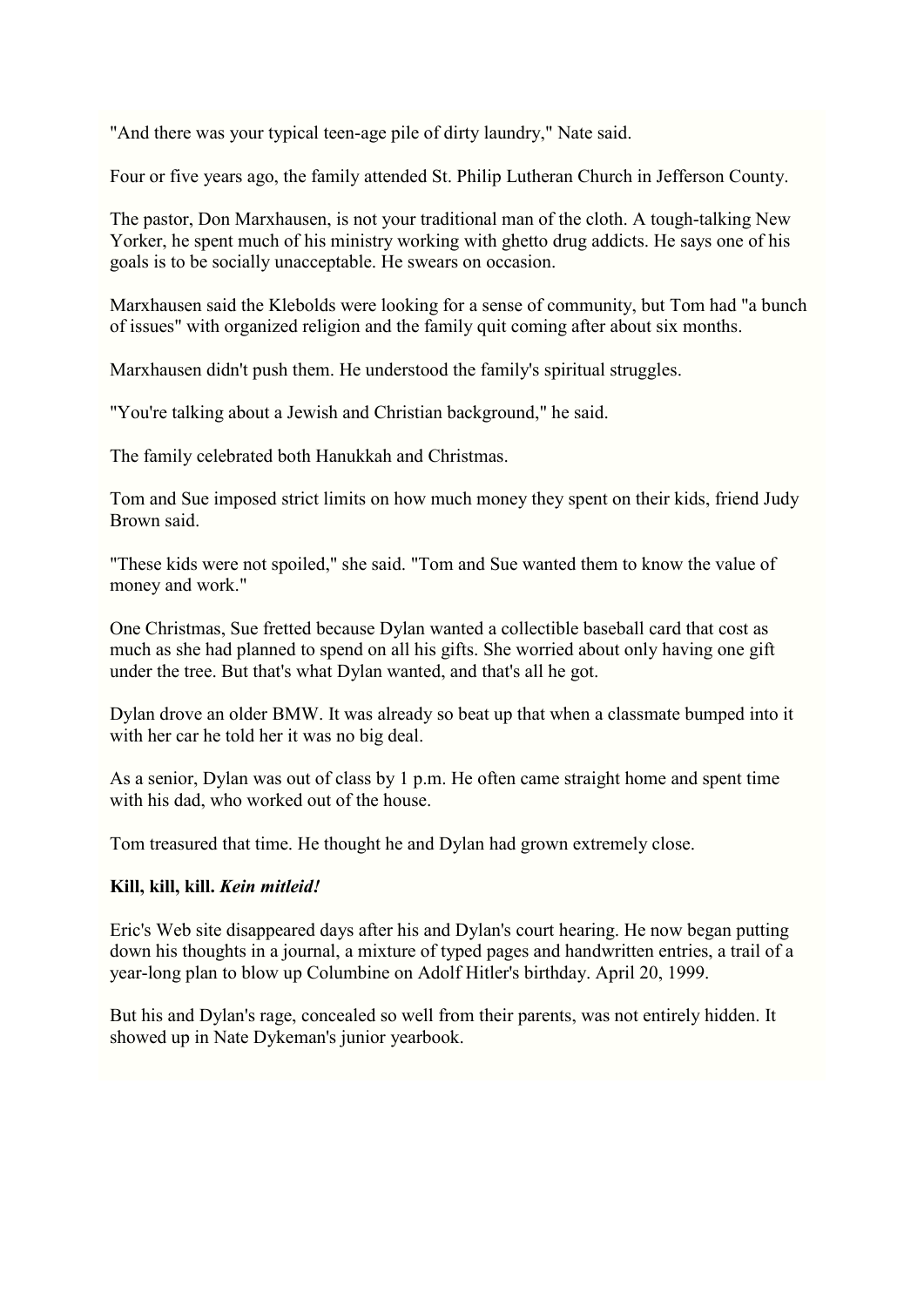"And there was your typical teen-age pile of dirty laundry," Nate said.

Four or five years ago, the family attended St. Philip Lutheran Church in Jefferson County.

The pastor, Don Marxhausen, is not your traditional man of the cloth. A tough-talking New Yorker, he spent much of his ministry working with ghetto drug addicts. He says one of his goals is to be socially unacceptable. He swears on occasion.

Marxhausen said the Klebolds were looking for a sense of community, but Tom had "a bunch of issues" with organized religion and the family quit coming after about six months.

Marxhausen didn't push them. He understood the family's spiritual struggles.

"You're talking about a Jewish and Christian background," he said.

The family celebrated both Hanukkah and Christmas.

Tom and Sue imposed strict limits on how much money they spent on their kids, friend Judy Brown said.

"These kids were not spoiled," she said. "Tom and Sue wanted them to know the value of money and work."

One Christmas, Sue fretted because Dylan wanted a collectible baseball card that cost as much as she had planned to spend on all his gifts. She worried about only having one gift under the tree. But that's what Dylan wanted, and that's all he got.

Dylan drove an older BMW. It was already so beat up that when a classmate bumped into it with her car he told her it was no big deal.

As a senior, Dylan was out of class by 1 p.m. He often came straight home and spent time with his dad, who worked out of the house.

Tom treasured that time. He thought he and Dylan had grown extremely close.

#### **Kill, kill, kill.** *Kein mitleid!*

Eric's Web site disappeared days after his and Dylan's court hearing. He now began putting down his thoughts in a journal, a mixture of typed pages and handwritten entries, a trail of a year-long plan to blow up Columbine on Adolf Hitler's birthday. April 20, 1999.

But his and Dylan's rage, concealed so well from their parents, was not entirely hidden. It showed up in Nate Dykeman's junior yearbook.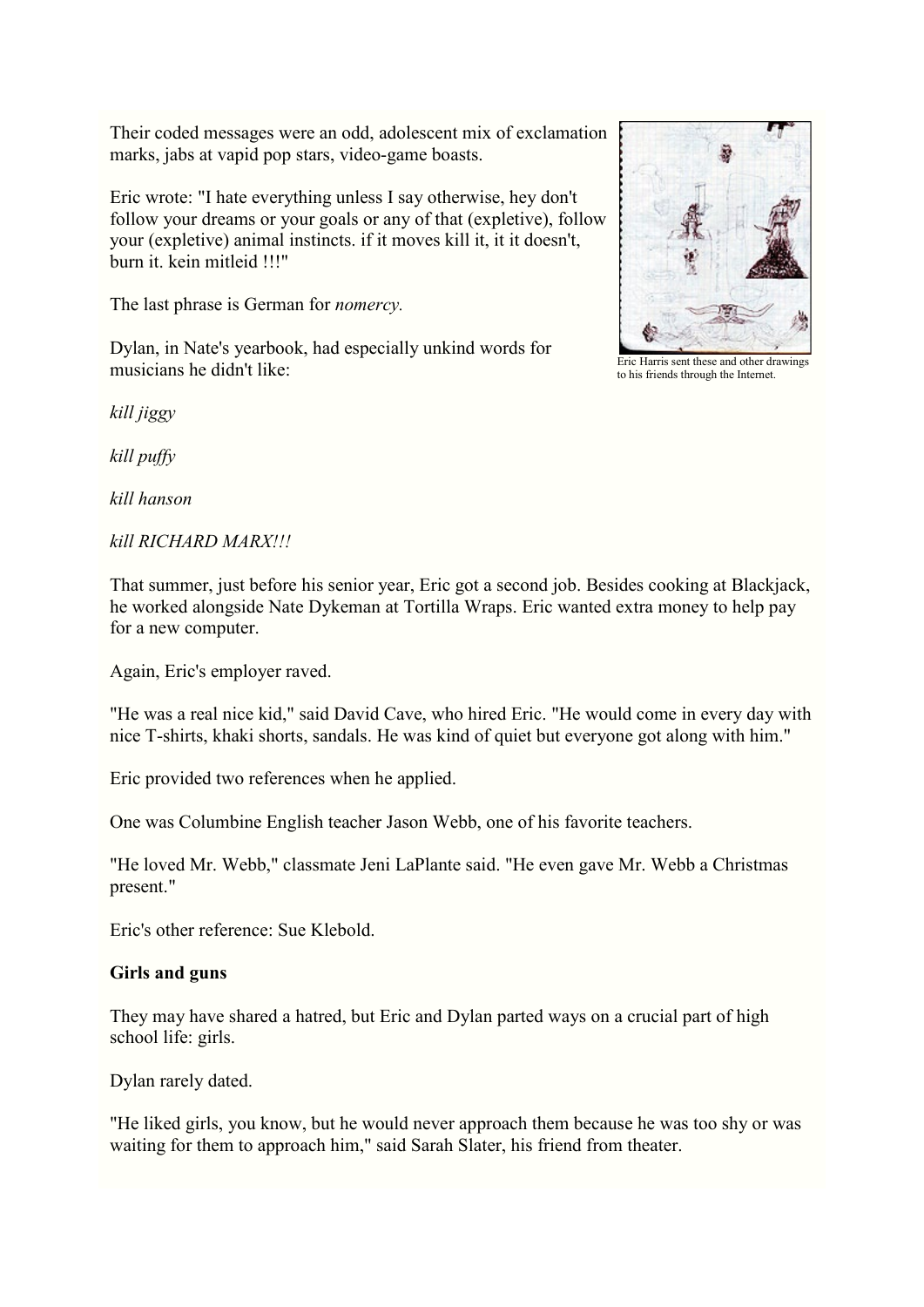Their coded messages were an odd, adolescent mix of exclamation marks, jabs at vapid pop stars, video-game boasts.

Eric wrote: "I hate everything unless I say otherwise, hey don't follow your dreams or your goals or any of that (expletive), follow your (expletive) animal instincts. if it moves kill it, it it doesn't, burn it. kein mitleid !!!"

The last phrase is German for *nomercy.*

Dylan, in Nate's yearbook, had especially unkind words for musicians he didn't like:

*kill jiggy*

*kill puffy*

*kill hanson*

#### *kill RICHARD MARX!!!*

That summer, just before his senior year, Eric got a second job. Besides cooking at Blackjack, he worked alongside Nate Dykeman at Tortilla Wraps. Eric wanted extra money to help pay for a new computer.

Again, Eric's employer raved.

"He was a real nice kid," said David Cave, who hired Eric. "He would come in every day with nice T-shirts, khaki shorts, sandals. He was kind of quiet but everyone got along with him."

Eric provided two references when he applied.

One was Columbine English teacher Jason Webb, one of his favorite teachers.

"He loved Mr. Webb," classmate Jeni LaPlante said. "He even gave Mr. Webb a Christmas present."

Eric's other reference: Sue Klebold.

#### **Girls and guns**

They may have shared a hatred, but Eric and Dylan parted ways on a crucial part of high school life: girls.

Dylan rarely dated.

"He liked girls, you know, but he would never approach them because he was too shy or was waiting for them to approach him," said Sarah Slater, his friend from theater.

Eric Harris sent these and other drawings to his friends through the Internet.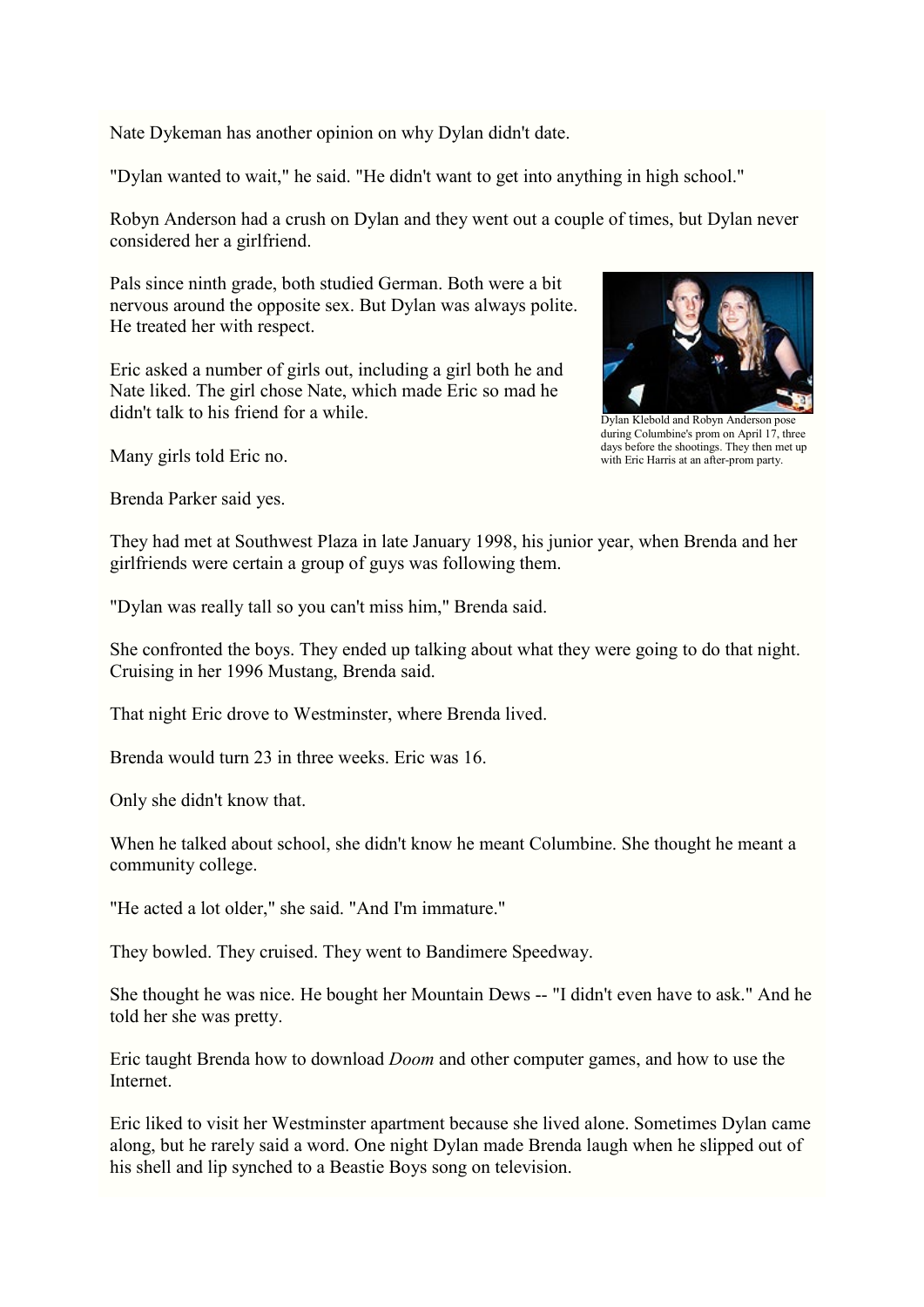Nate Dykeman has another opinion on why Dylan didn't date.

"Dylan wanted to wait," he said. "He didn't want to get into anything in high school."

Robyn Anderson had a crush on Dylan and they went out a couple of times, but Dylan never considered her a girlfriend.

Pals since ninth grade, both studied German. Both were a bit nervous around the opposite sex. But Dylan was always polite. He treated her with respect.

Eric asked a number of girls out, including a girl both he and Nate liked. The girl chose Nate, which made Eric so mad he didn't talk to his friend for a while.

Many girls told Eric no.

Brenda Parker said yes.



Dylan Klebold and Robyn Anderson pose during Columbine's prom on April 17, three days before the shootings. They then met up with Eric Harris at an after-prom party.

They had met at Southwest Plaza in late January 1998, his junior year, when Brenda and her girlfriends were certain a group of guys was following them.

"Dylan was really tall so you can't miss him," Brenda said.

She confronted the boys. They ended up talking about what they were going to do that night. Cruising in her 1996 Mustang, Brenda said.

That night Eric drove to Westminster, where Brenda lived.

Brenda would turn 23 in three weeks. Eric was 16.

Only she didn't know that.

When he talked about school, she didn't know he meant Columbine. She thought he meant a community college.

"He acted a lot older," she said. "And I'm immature."

They bowled. They cruised. They went to Bandimere Speedway.

She thought he was nice. He bought her Mountain Dews -- "I didn't even have to ask." And he told her she was pretty.

Eric taught Brenda how to download *Doom* and other computer games, and how to use the Internet.

Eric liked to visit her Westminster apartment because she lived alone. Sometimes Dylan came along, but he rarely said a word. One night Dylan made Brenda laugh when he slipped out of his shell and lip synched to a Beastie Boys song on television.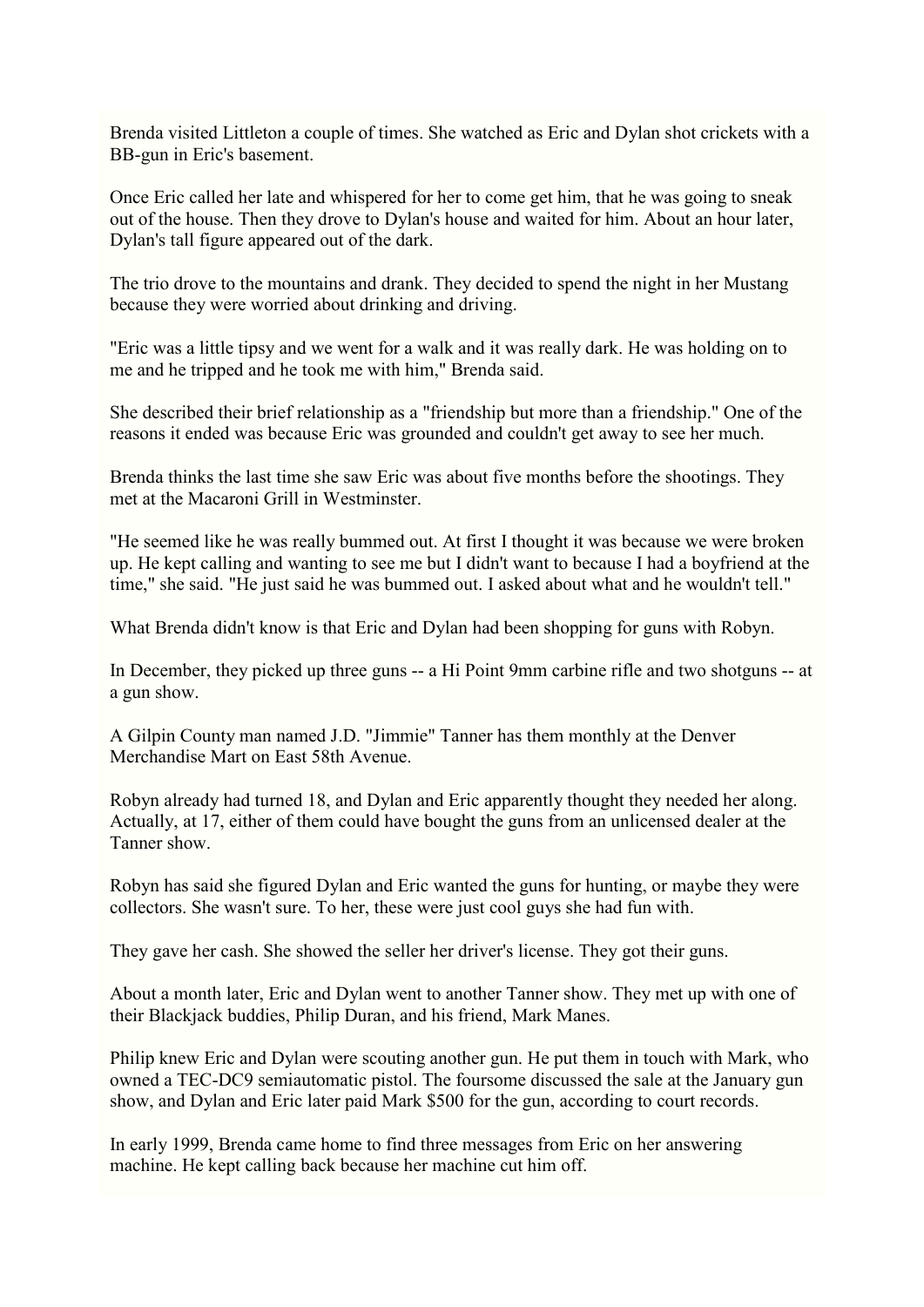Brenda visited Littleton a couple of times. She watched as Eric and Dylan shot crickets with a BB-gun in Eric's basement.

Once Eric called her late and whispered for her to come get him, that he was going to sneak out of the house. Then they drove to Dylan's house and waited for him. About an hour later, Dylan's tall figure appeared out of the dark.

The trio drove to the mountains and drank. They decided to spend the night in her Mustang because they were worried about drinking and driving.

"Eric was a little tipsy and we went for a walk and it was really dark. He was holding on to me and he tripped and he took me with him," Brenda said.

She described their brief relationship as a "friendship but more than a friendship." One of the reasons it ended was because Eric was grounded and couldn't get away to see her much.

Brenda thinks the last time she saw Eric was about five months before the shootings. They met at the Macaroni Grill in Westminster.

"He seemed like he was really bummed out. At first I thought it was because we were broken up. He kept calling and wanting to see me but I didn't want to because I had a boyfriend at the time," she said. "He just said he was bummed out. I asked about what and he wouldn't tell."

What Brenda didn't know is that Eric and Dylan had been shopping for guns with Robyn.

In December, they picked up three guns -- a Hi Point 9mm carbine rifle and two shotguns -- at a gun show.

A Gilpin County man named J.D. "Jimmie" Tanner has them monthly at the Denver Merchandise Mart on East 58th Avenue.

Robyn already had turned 18, and Dylan and Eric apparently thought they needed her along. Actually, at 17, either of them could have bought the guns from an unlicensed dealer at the Tanner show.

Robyn has said she figured Dylan and Eric wanted the guns for hunting, or maybe they were collectors. She wasn't sure. To her, these were just cool guys she had fun with.

They gave her cash. She showed the seller her driver's license. They got their guns.

About a month later, Eric and Dylan went to another Tanner show. They met up with one of their Blackjack buddies, Philip Duran, and his friend, Mark Manes.

Philip knew Eric and Dylan were scouting another gun. He put them in touch with Mark, who owned a TEC-DC9 semiautomatic pistol. The foursome discussed the sale at the January gun show, and Dylan and Eric later paid Mark \$500 for the gun, according to court records.

In early 1999, Brenda came home to find three messages from Eric on her answering machine. He kept calling back because her machine cut him off.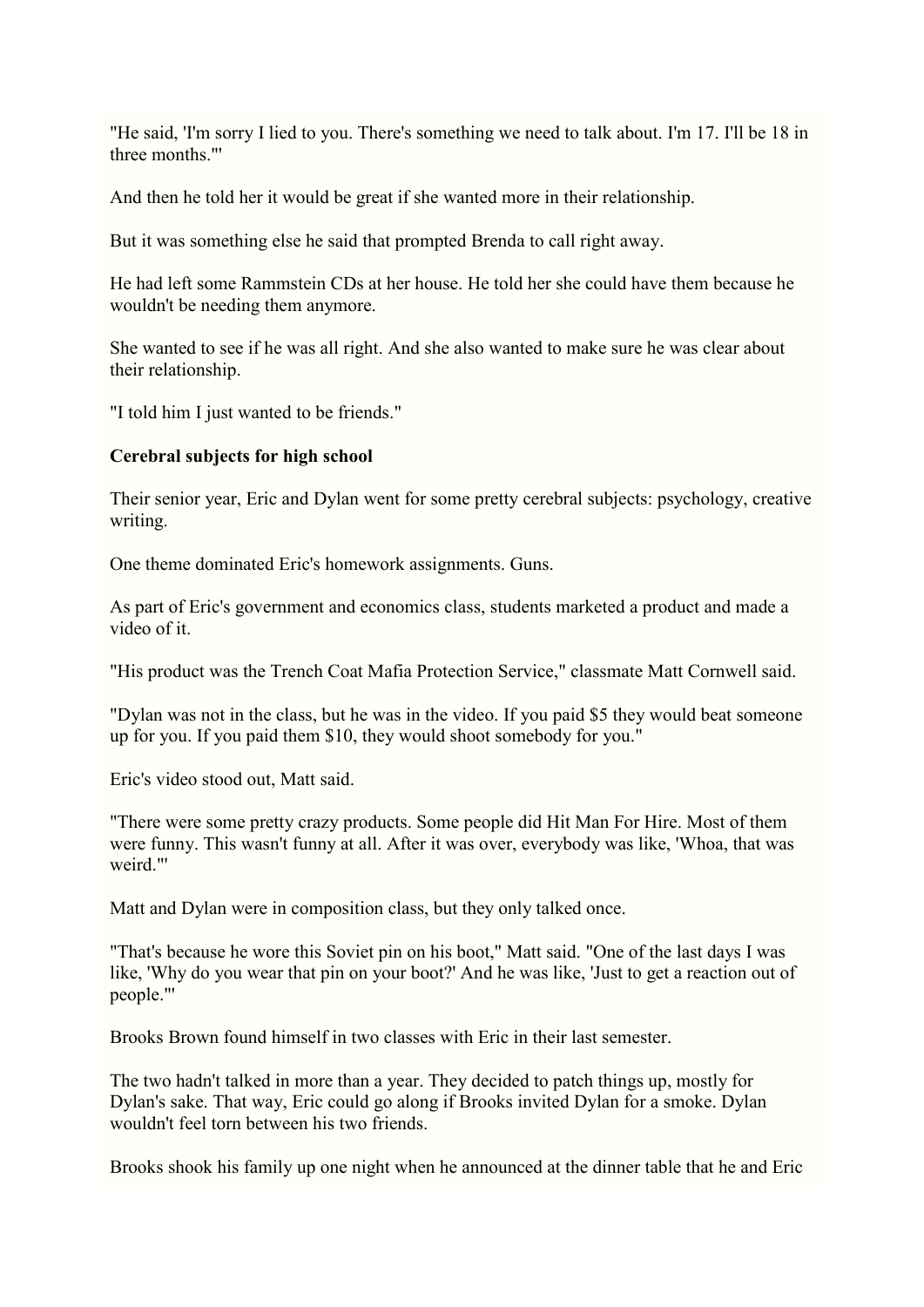"He said, 'I'm sorry I lied to you. There's something we need to talk about. I'm 17. I'll be 18 in three months.<sup>""</sup>

And then he told her it would be great if she wanted more in their relationship.

But it was something else he said that prompted Brenda to call right away.

He had left some Rammstein CDs at her house. He told her she could have them because he wouldn't be needing them anymore.

She wanted to see if he was all right. And she also wanted to make sure he was clear about their relationship.

"I told him I just wanted to be friends."

#### **Cerebral subjects for high school**

Their senior year, Eric and Dylan went for some pretty cerebral subjects: psychology, creative writing.

One theme dominated Eric's homework assignments. Guns.

As part of Eric's government and economics class, students marketed a product and made a video of it.

"His product was the Trench Coat Mafia Protection Service," classmate Matt Cornwell said.

"Dylan was not in the class, but he was in the video. If you paid \$5 they would beat someone up for you. If you paid them \$10, they would shoot somebody for you."

Eric's video stood out, Matt said.

"There were some pretty crazy products. Some people did Hit Man For Hire. Most of them were funny. This wasn't funny at all. After it was over, everybody was like, 'Whoa, that was weird."'

Matt and Dylan were in composition class, but they only talked once.

"That's because he wore this Soviet pin on his boot," Matt said. "One of the last days I was like, 'Why do you wear that pin on your boot?' And he was like, 'Just to get a reaction out of people."'

Brooks Brown found himself in two classes with Eric in their last semester.

The two hadn't talked in more than a year. They decided to patch things up, mostly for Dylan's sake. That way, Eric could go along if Brooks invited Dylan for a smoke. Dylan wouldn't feel torn between his two friends.

Brooks shook his family up one night when he announced at the dinner table that he and Eric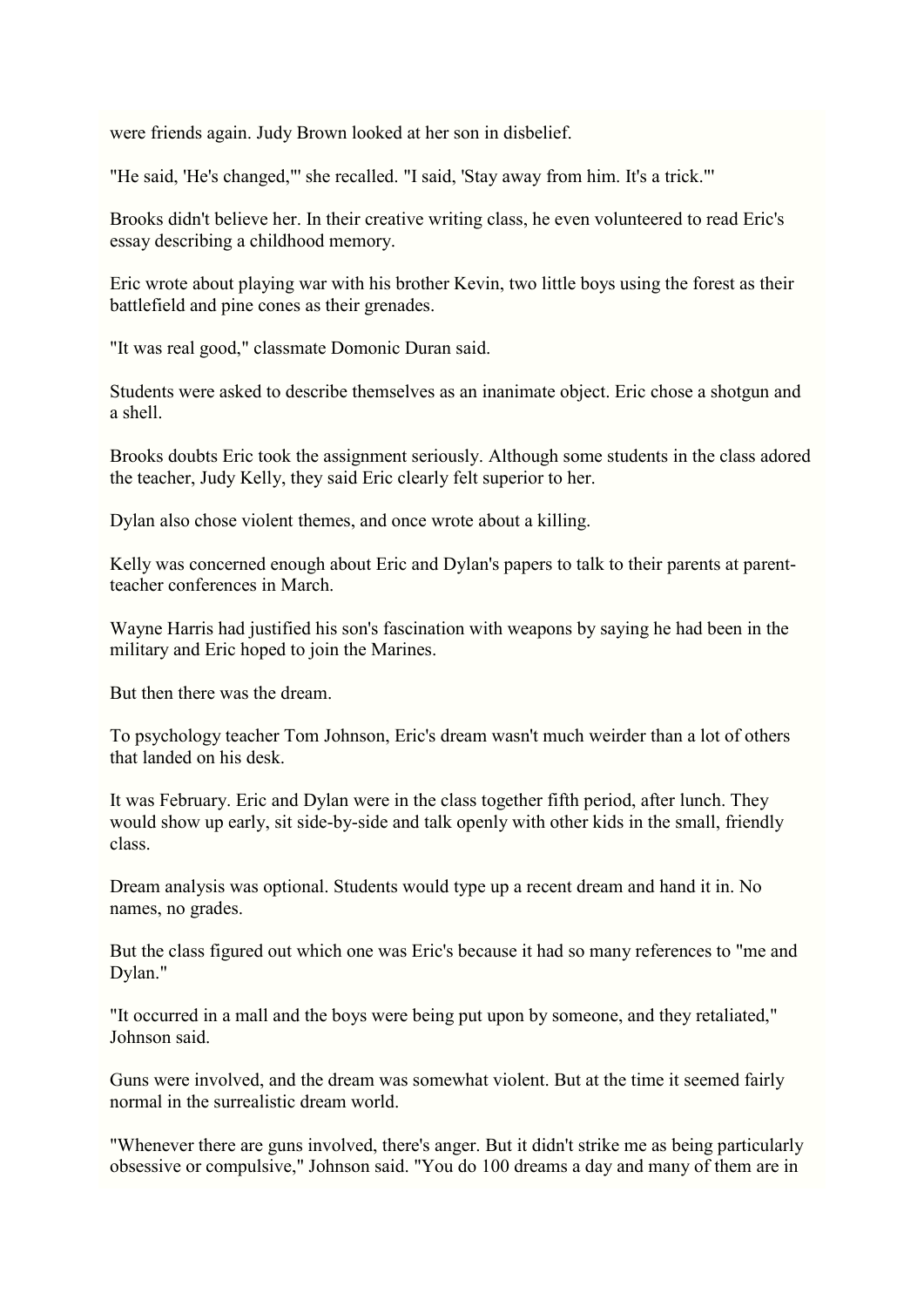were friends again. Judy Brown looked at her son in disbelief.

"He said, 'He's changed,"' she recalled. "I said, 'Stay away from him. It's a trick."'

Brooks didn't believe her. In their creative writing class, he even volunteered to read Eric's essay describing a childhood memory.

Eric wrote about playing war with his brother Kevin, two little boys using the forest as their battlefield and pine cones as their grenades.

"It was real good," classmate Domonic Duran said.

Students were asked to describe themselves as an inanimate object. Eric chose a shotgun and a shell.

Brooks doubts Eric took the assignment seriously. Although some students in the class adored the teacher, Judy Kelly, they said Eric clearly felt superior to her.

Dylan also chose violent themes, and once wrote about a killing.

Kelly was concerned enough about Eric and Dylan's papers to talk to their parents at parentteacher conferences in March.

Wayne Harris had justified his son's fascination with weapons by saying he had been in the military and Eric hoped to join the Marines.

But then there was the dream.

To psychology teacher Tom Johnson, Eric's dream wasn't much weirder than a lot of others that landed on his desk.

It was February. Eric and Dylan were in the class together fifth period, after lunch. They would show up early, sit side-by-side and talk openly with other kids in the small, friendly class.

Dream analysis was optional. Students would type up a recent dream and hand it in. No names, no grades.

But the class figured out which one was Eric's because it had so many references to "me and Dylan."

"It occurred in a mall and the boys were being put upon by someone, and they retaliated," Johnson said.

Guns were involved, and the dream was somewhat violent. But at the time it seemed fairly normal in the surrealistic dream world.

"Whenever there are guns involved, there's anger. But it didn't strike me as being particularly obsessive or compulsive," Johnson said. "You do 100 dreams a day and many of them are in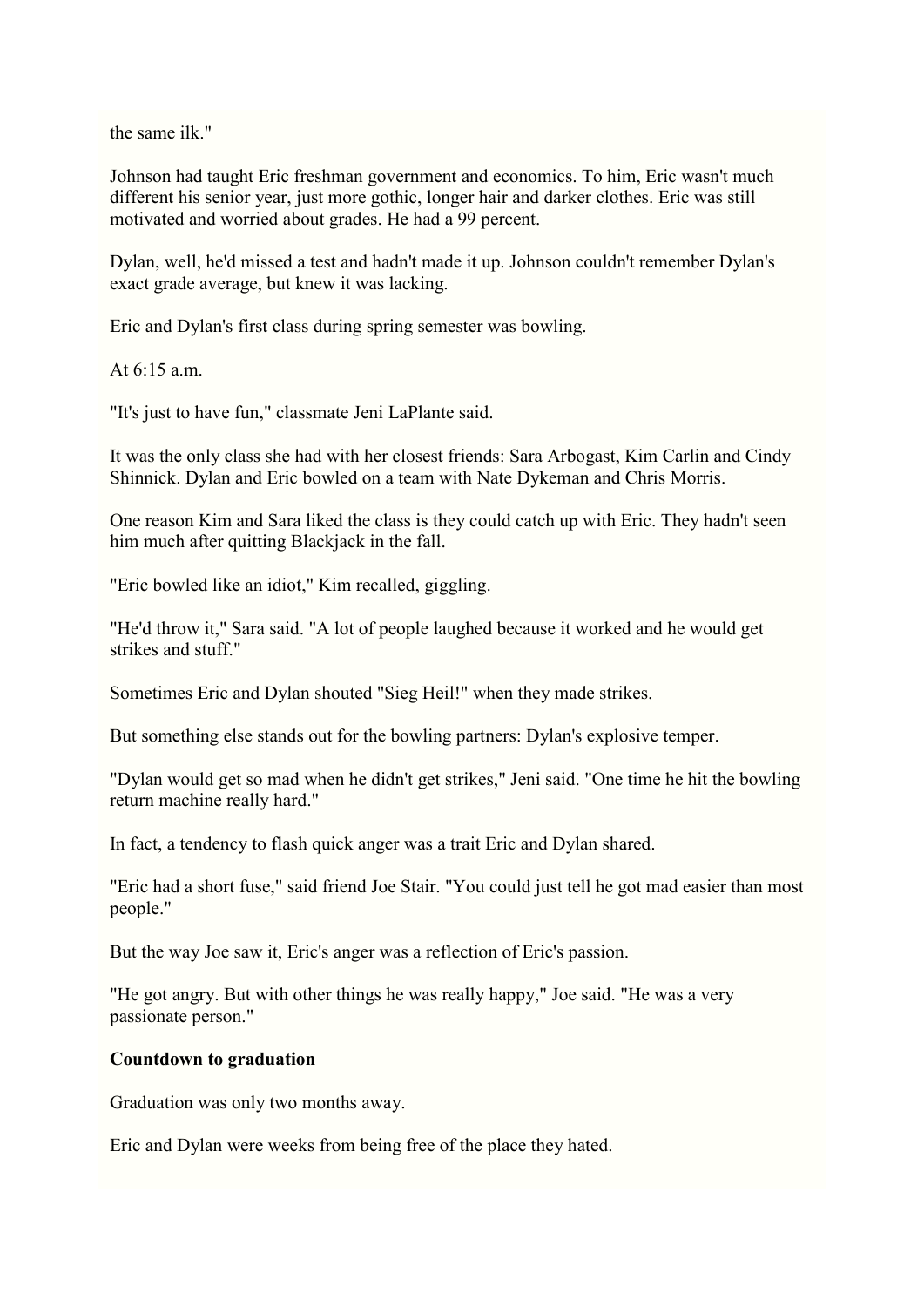the same ilk."

Johnson had taught Eric freshman government and economics. To him, Eric wasn't much different his senior year, just more gothic, longer hair and darker clothes. Eric was still motivated and worried about grades. He had a 99 percent.

Dylan, well, he'd missed a test and hadn't made it up. Johnson couldn't remember Dylan's exact grade average, but knew it was lacking.

Eric and Dylan's first class during spring semester was bowling.

At  $6:15$  a.m.

"It's just to have fun," classmate Jeni LaPlante said.

It was the only class she had with her closest friends: Sara Arbogast, Kim Carlin and Cindy Shinnick. Dylan and Eric bowled on a team with Nate Dykeman and Chris Morris.

One reason Kim and Sara liked the class is they could catch up with Eric. They hadn't seen him much after quitting Blackjack in the fall.

"Eric bowled like an idiot," Kim recalled, giggling.

"He'd throw it," Sara said. "A lot of people laughed because it worked and he would get strikes and stuff."

Sometimes Eric and Dylan shouted "Sieg Heil!" when they made strikes.

But something else stands out for the bowling partners: Dylan's explosive temper.

"Dylan would get so mad when he didn't get strikes," Jeni said. "One time he hit the bowling return machine really hard."

In fact, a tendency to flash quick anger was a trait Eric and Dylan shared.

"Eric had a short fuse," said friend Joe Stair. "You could just tell he got mad easier than most people."

But the way Joe saw it, Eric's anger was a reflection of Eric's passion.

"He got angry. But with other things he was really happy," Joe said. "He was a very passionate person."

#### **Countdown to graduation**

Graduation was only two months away.

Eric and Dylan were weeks from being free of the place they hated.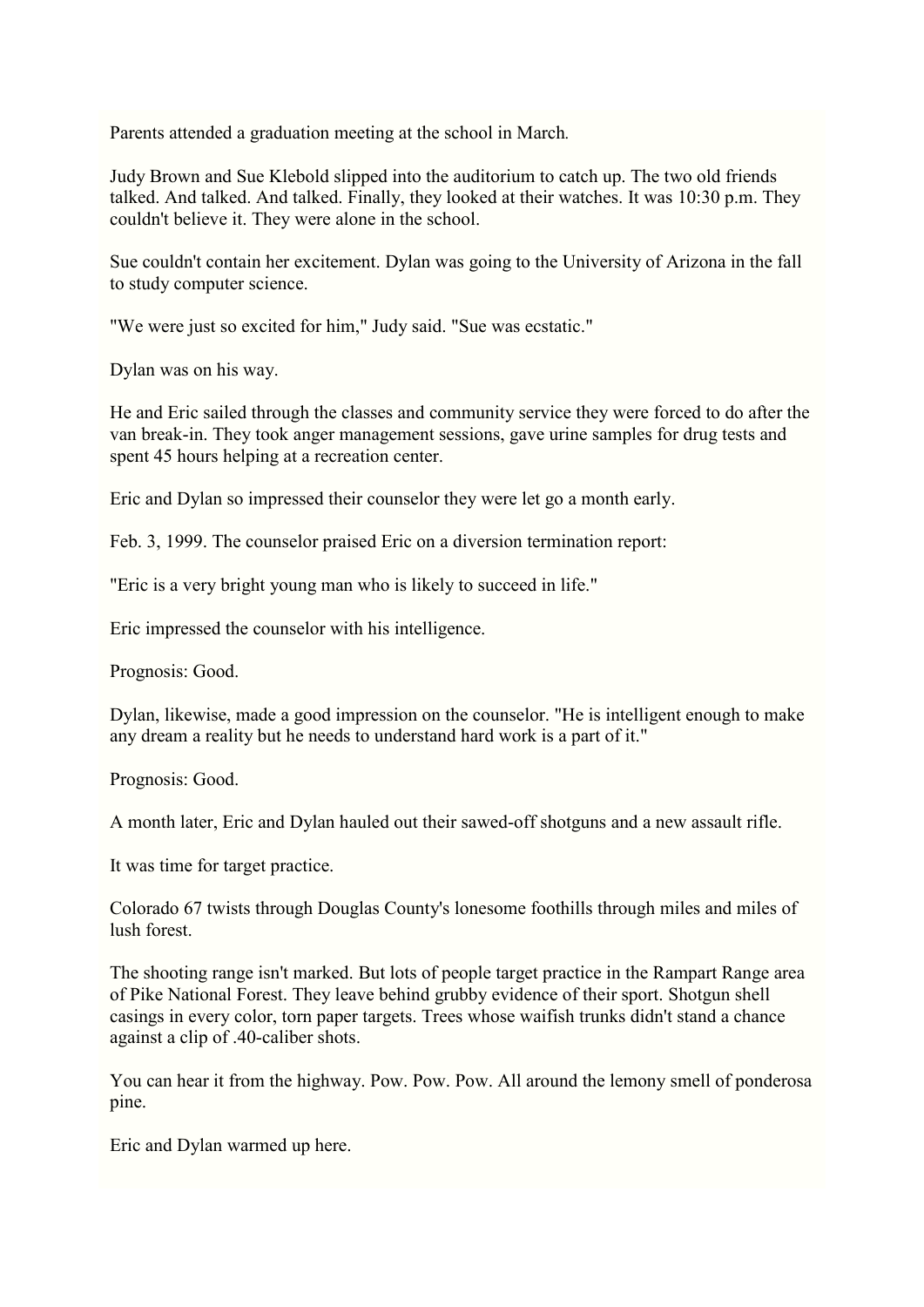Parents attended a graduation meeting at the school in March*.*

Judy Brown and Sue Klebold slipped into the auditorium to catch up. The two old friends talked. And talked. And talked. Finally, they looked at their watches. It was 10:30 p.m. They couldn't believe it. They were alone in the school.

Sue couldn't contain her excitement. Dylan was going to the University of Arizona in the fall to study computer science.

"We were just so excited for him," Judy said. "Sue was ecstatic."

Dylan was on his way.

He and Eric sailed through the classes and community service they were forced to do after the van break-in. They took anger management sessions, gave urine samples for drug tests and spent 45 hours helping at a recreation center.

Eric and Dylan so impressed their counselor they were let go a month early.

Feb. 3, 1999. The counselor praised Eric on a diversion termination report:

"Eric is a very bright young man who is likely to succeed in life."

Eric impressed the counselor with his intelligence.

Prognosis: Good.

Dylan, likewise, made a good impression on the counselor. "He is intelligent enough to make any dream a reality but he needs to understand hard work is a part of it."

Prognosis: Good.

A month later, Eric and Dylan hauled out their sawed-off shotguns and a new assault rifle.

It was time for target practice.

Colorado 67 twists through Douglas County's lonesome foothills through miles and miles of lush forest.

The shooting range isn't marked. But lots of people target practice in the Rampart Range area of Pike National Forest. They leave behind grubby evidence of their sport. Shotgun shell casings in every color, torn paper targets. Trees whose waifish trunks didn't stand a chance against a clip of .40-caliber shots.

You can hear it from the highway. Pow. Pow. Pow. All around the lemony smell of ponderosa pine.

Eric and Dylan warmed up here.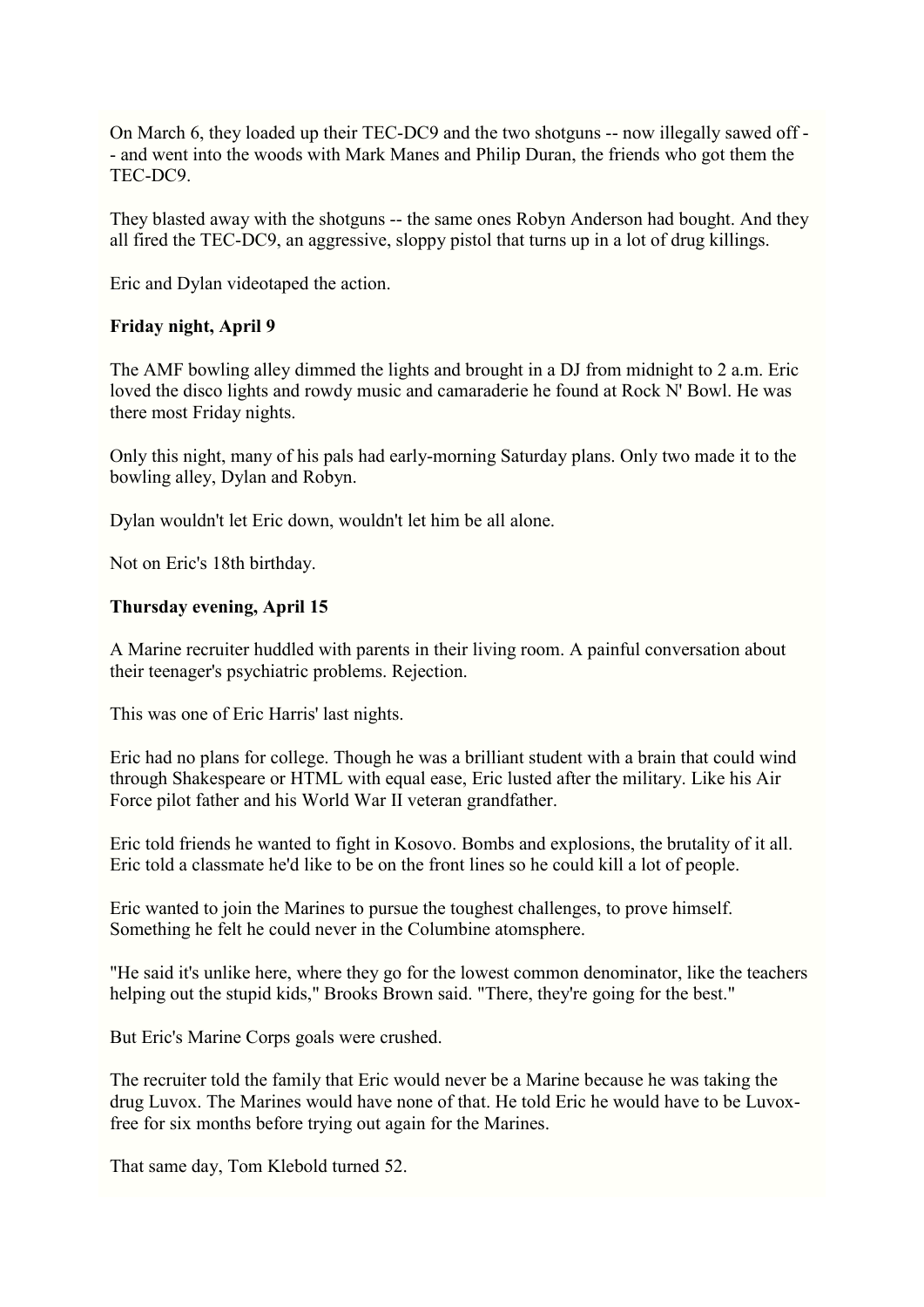On March 6, they loaded up their TEC-DC9 and the two shotguns -- now illegally sawed off - - and went into the woods with Mark Manes and Philip Duran, the friends who got them the TEC-DC9.

They blasted away with the shotguns -- the same ones Robyn Anderson had bought. And they all fired the TEC-DC9, an aggressive, sloppy pistol that turns up in a lot of drug killings.

Eric and Dylan videotaped the action.

#### **Friday night, April 9**

The AMF bowling alley dimmed the lights and brought in a DJ from midnight to 2 a.m. Eric loved the disco lights and rowdy music and camaraderie he found at Rock N' Bowl. He was there most Friday nights.

Only this night, many of his pals had early-morning Saturday plans. Only two made it to the bowling alley, Dylan and Robyn.

Dylan wouldn't let Eric down, wouldn't let him be all alone.

Not on Eric's 18th birthday.

#### **Thursday evening, April 15**

A Marine recruiter huddled with parents in their living room. A painful conversation about their teenager's psychiatric problems. Rejection.

This was one of Eric Harris' last nights.

Eric had no plans for college. Though he was a brilliant student with a brain that could wind through Shakespeare or HTML with equal ease, Eric lusted after the military. Like his Air Force pilot father and his World War II veteran grandfather.

Eric told friends he wanted to fight in Kosovo. Bombs and explosions, the brutality of it all. Eric told a classmate he'd like to be on the front lines so he could kill a lot of people.

Eric wanted to join the Marines to pursue the toughest challenges, to prove himself. Something he felt he could never in the Columbine atomsphere.

"He said it's unlike here, where they go for the lowest common denominator, like the teachers helping out the stupid kids," Brooks Brown said. "There, they're going for the best."

But Eric's Marine Corps goals were crushed.

The recruiter told the family that Eric would never be a Marine because he was taking the drug Luvox. The Marines would have none of that. He told Eric he would have to be Luvoxfree for six months before trying out again for the Marines.

That same day, Tom Klebold turned 52.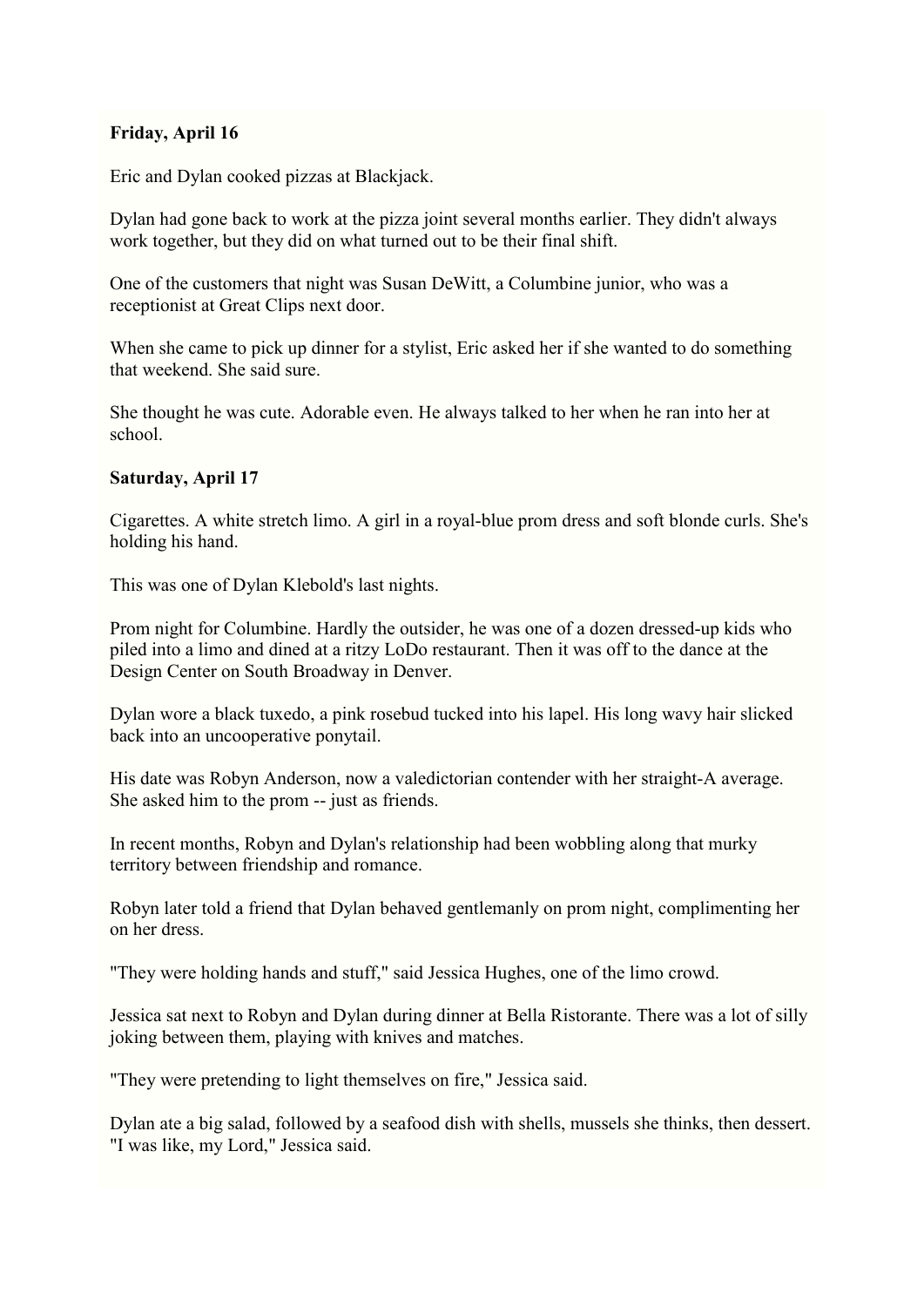# **Friday, April 16**

Eric and Dylan cooked pizzas at Blackjack.

Dylan had gone back to work at the pizza joint several months earlier. They didn't always work together, but they did on what turned out to be their final shift.

One of the customers that night was Susan DeWitt, a Columbine junior, who was a receptionist at Great Clips next door.

When she came to pick up dinner for a stylist, Eric asked her if she wanted to do something that weekend. She said sure.

She thought he was cute. Adorable even. He always talked to her when he ran into her at school.

# **Saturday, April 17**

Cigarettes. A white stretch limo. A girl in a royal-blue prom dress and soft blonde curls. She's holding his hand.

This was one of Dylan Klebold's last nights.

Prom night for Columbine. Hardly the outsider, he was one of a dozen dressed-up kids who piled into a limo and dined at a ritzy LoDo restaurant. Then it was off to the dance at the Design Center on South Broadway in Denver.

Dylan wore a black tuxedo, a pink rosebud tucked into his lapel. His long wavy hair slicked back into an uncooperative ponytail.

His date was Robyn Anderson, now a valedictorian contender with her straight-A average. She asked him to the prom -- just as friends.

In recent months, Robyn and Dylan's relationship had been wobbling along that murky territory between friendship and romance.

Robyn later told a friend that Dylan behaved gentlemanly on prom night, complimenting her on her dress.

"They were holding hands and stuff," said Jessica Hughes, one of the limo crowd.

Jessica sat next to Robyn and Dylan during dinner at Bella Ristorante. There was a lot of silly joking between them, playing with knives and matches.

"They were pretending to light themselves on fire," Jessica said.

Dylan ate a big salad, followed by a seafood dish with shells, mussels she thinks, then dessert. "I was like, my Lord," Jessica said.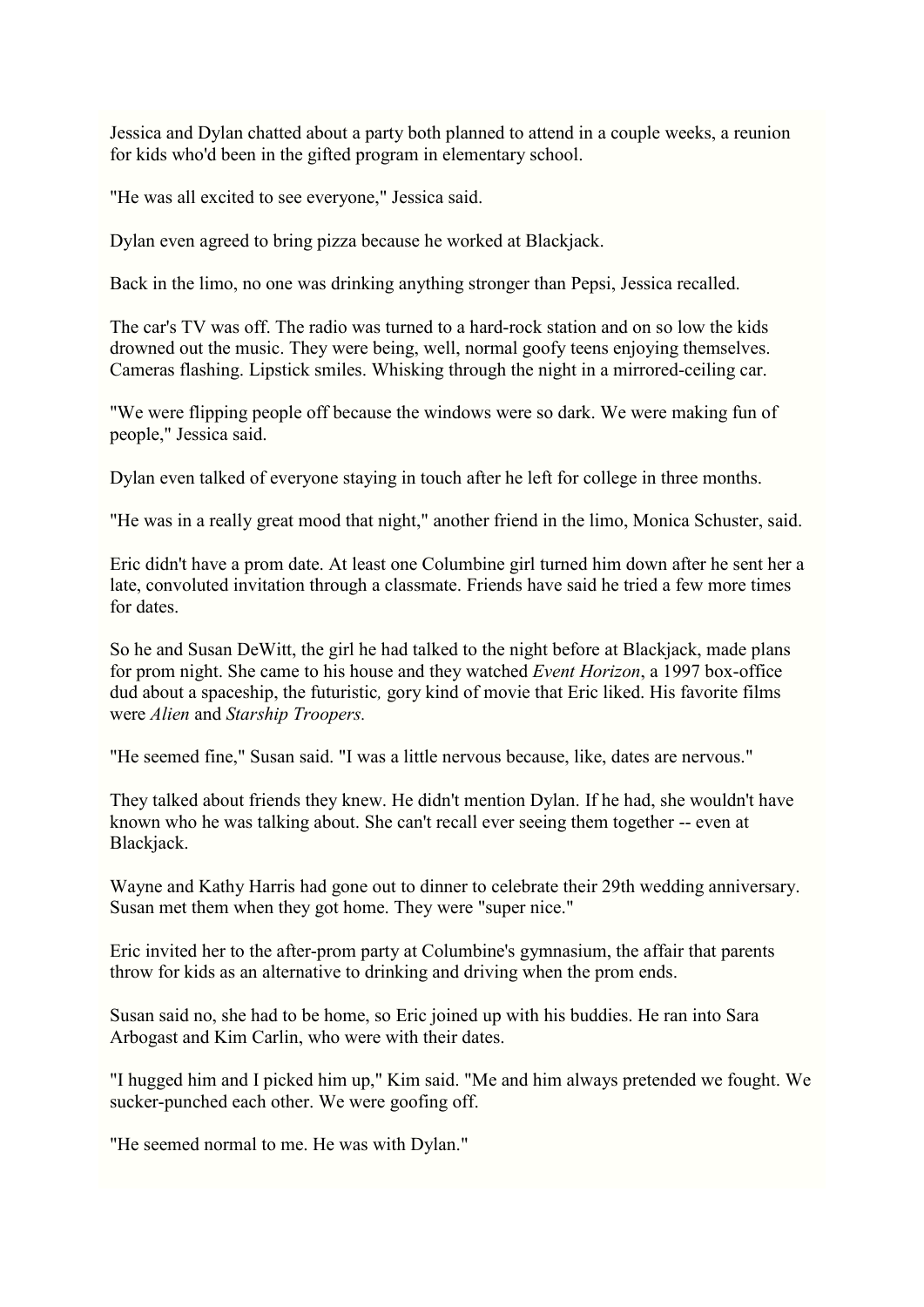Jessica and Dylan chatted about a party both planned to attend in a couple weeks, a reunion for kids who'd been in the gifted program in elementary school.

"He was all excited to see everyone," Jessica said.

Dylan even agreed to bring pizza because he worked at Blackjack.

Back in the limo, no one was drinking anything stronger than Pepsi, Jessica recalled.

The car's TV was off. The radio was turned to a hard-rock station and on so low the kids drowned out the music. They were being, well, normal goofy teens enjoying themselves. Cameras flashing. Lipstick smiles. Whisking through the night in a mirrored-ceiling car.

"We were flipping people off because the windows were so dark. We were making fun of people," Jessica said.

Dylan even talked of everyone staying in touch after he left for college in three months.

"He was in a really great mood that night," another friend in the limo, Monica Schuster, said.

Eric didn't have a prom date. At least one Columbine girl turned him down after he sent her a late, convoluted invitation through a classmate. Friends have said he tried a few more times for dates.

So he and Susan DeWitt, the girl he had talked to the night before at Blackjack, made plans for prom night. She came to his house and they watched *Event Horizon*, a 1997 box-office dud about a spaceship, the futuristic*,* gory kind of movie that Eric liked. His favorite films were *Alien* and *Starship Troopers.*

"He seemed fine," Susan said. "I was a little nervous because, like, dates are nervous."

They talked about friends they knew. He didn't mention Dylan. If he had, she wouldn't have known who he was talking about. She can't recall ever seeing them together -- even at Blackjack.

Wayne and Kathy Harris had gone out to dinner to celebrate their 29th wedding anniversary. Susan met them when they got home. They were "super nice."

Eric invited her to the after-prom party at Columbine's gymnasium, the affair that parents throw for kids as an alternative to drinking and driving when the prom ends.

Susan said no, she had to be home, so Eric joined up with his buddies. He ran into Sara Arbogast and Kim Carlin, who were with their dates.

"I hugged him and I picked him up," Kim said. "Me and him always pretended we fought. We sucker-punched each other. We were goofing off.

"He seemed normal to me. He was with Dylan."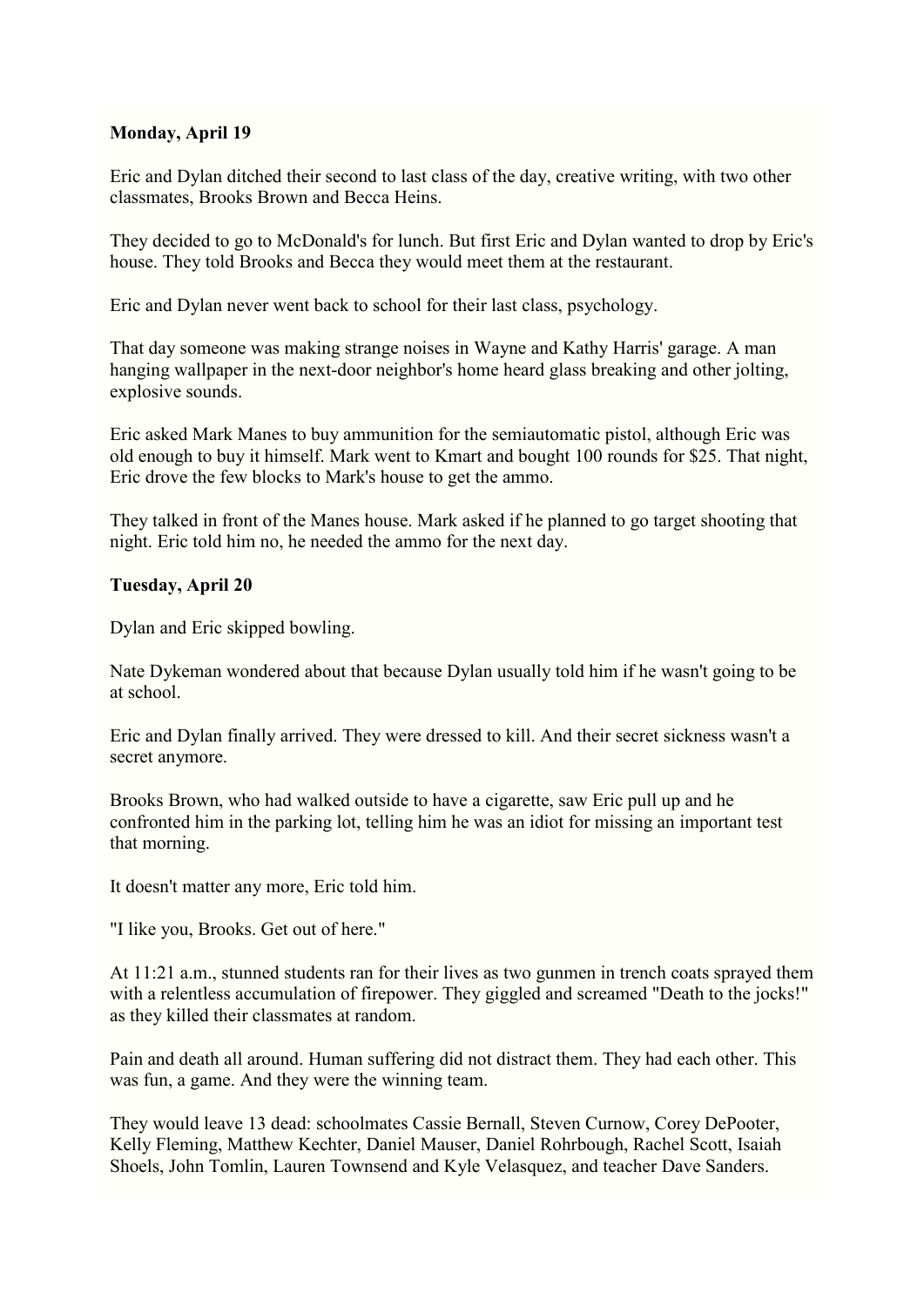# **Monday, April 19**

Eric and Dylan ditched their second to last class of the day, creative writing, with two other classmates, Brooks Brown and Becca Heins.

They decided to go to McDonald's for lunch. But first Eric and Dylan wanted to drop by Eric's house. They told Brooks and Becca they would meet them at the restaurant.

Eric and Dylan never went back to school for their last class, psychology.

That day someone was making strange noises in Wayne and Kathy Harris' garage. A man hanging wallpaper in the next-door neighbor's home heard glass breaking and other jolting, explosive sounds.

Eric asked Mark Manes to buy ammunition for the semiautomatic pistol, although Eric was old enough to buy it himself. Mark went to Kmart and bought 100 rounds for \$25. That night, Eric drove the few blocks to Mark's house to get the ammo.

They talked in front of the Manes house. Mark asked if he planned to go target shooting that night. Eric told him no, he needed the ammo for the next day.

# **Tuesday, April 20**

Dylan and Eric skipped bowling.

Nate Dykeman wondered about that because Dylan usually told him if he wasn't going to be at school.

Eric and Dylan finally arrived. They were dressed to kill. And their secret sickness wasn't a secret anymore.

Brooks Brown, who had walked outside to have a cigarette, saw Eric pull up and he confronted him in the parking lot, telling him he was an idiot for missing an important test that morning.

It doesn't matter any more, Eric told him.

"I like you, Brooks. Get out of here."

At 11:21 a.m., stunned students ran for their lives as two gunmen in trench coats sprayed them with a relentless accumulation of firepower. They giggled and screamed "Death to the jocks!" as they killed their classmates at random.

Pain and death all around. Human suffering did not distract them. They had each other. This was fun, a game. And they were the winning team.

They would leave 13 dead: schoolmates Cassie Bernall, Steven Curnow, Corey DePooter, Kelly Fleming, Matthew Kechter, Daniel Mauser, Daniel Rohrbough, Rachel Scott, Isaiah Shoels, John Tomlin, Lauren Townsend and Kyle Velasquez, and teacher Dave Sanders.